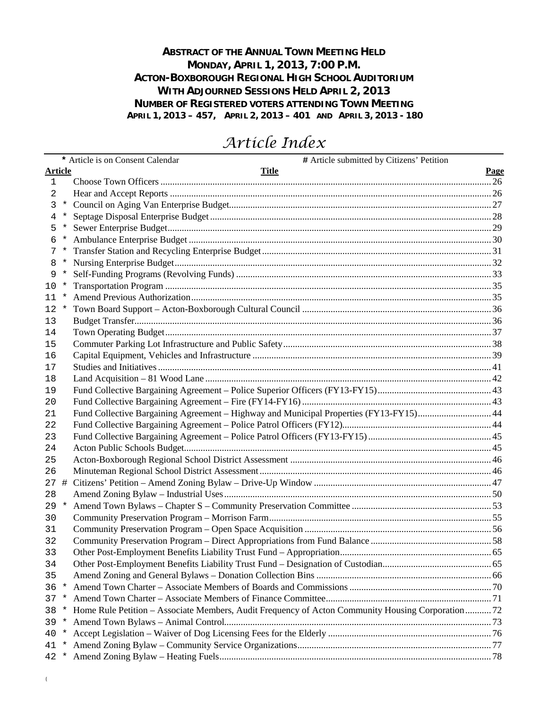## **ABSTRACT OF THE ANNUAL TOWN MEETING HELD MONDAY, APRIL 1, 2013, 7:00 P.M. ACTON-BOXBOROUGH REGIONAL HIGH SCHOOL AUDITORIUM WITH ADJOURNED SESSIONS HELD APRIL 2, 2013 NUMBER OF REGISTERED VOTERS ATTENDING TOWN MEETING APRIL 1, 2013 – 457, APRIL 2, 2013 – 401 AND APRIL 3, 2013 - 180**

# *Article Index*

| * Article is on Consent Calendar<br># Article submitted by Citizens' Petition<br><b>Article</b><br><b>Title</b><br>Page<br>$\mathbf{1}$<br>2<br>3<br>$\star$<br>4<br>*<br>$^\star$<br>5<br>6<br>*<br>7<br>*<br>8<br>9<br>$^\star$<br>$^\star$<br>10<br>11<br>12<br>*<br>13<br>14<br>15<br>16<br>17 |
|----------------------------------------------------------------------------------------------------------------------------------------------------------------------------------------------------------------------------------------------------------------------------------------------------|
|                                                                                                                                                                                                                                                                                                    |
|                                                                                                                                                                                                                                                                                                    |
|                                                                                                                                                                                                                                                                                                    |
|                                                                                                                                                                                                                                                                                                    |
|                                                                                                                                                                                                                                                                                                    |
|                                                                                                                                                                                                                                                                                                    |
|                                                                                                                                                                                                                                                                                                    |
|                                                                                                                                                                                                                                                                                                    |
|                                                                                                                                                                                                                                                                                                    |
|                                                                                                                                                                                                                                                                                                    |
|                                                                                                                                                                                                                                                                                                    |
|                                                                                                                                                                                                                                                                                                    |
|                                                                                                                                                                                                                                                                                                    |
|                                                                                                                                                                                                                                                                                                    |
|                                                                                                                                                                                                                                                                                                    |
|                                                                                                                                                                                                                                                                                                    |
|                                                                                                                                                                                                                                                                                                    |
|                                                                                                                                                                                                                                                                                                    |
| 18                                                                                                                                                                                                                                                                                                 |
| 19                                                                                                                                                                                                                                                                                                 |
| 20                                                                                                                                                                                                                                                                                                 |
| Fund Collective Bargaining Agreement - Highway and Municipal Properties (FY13-FY15) 44<br>21                                                                                                                                                                                                       |
| 22                                                                                                                                                                                                                                                                                                 |
| 23                                                                                                                                                                                                                                                                                                 |
| 24                                                                                                                                                                                                                                                                                                 |
| 25                                                                                                                                                                                                                                                                                                 |
| 26                                                                                                                                                                                                                                                                                                 |
| #<br>27                                                                                                                                                                                                                                                                                            |
| 28                                                                                                                                                                                                                                                                                                 |
| $^\star$<br>29                                                                                                                                                                                                                                                                                     |
| 30                                                                                                                                                                                                                                                                                                 |
| 31                                                                                                                                                                                                                                                                                                 |
| 32                                                                                                                                                                                                                                                                                                 |
| 33                                                                                                                                                                                                                                                                                                 |
| 34                                                                                                                                                                                                                                                                                                 |
| 35                                                                                                                                                                                                                                                                                                 |
| 36<br>$^\star$                                                                                                                                                                                                                                                                                     |
| 37<br>$\ast$                                                                                                                                                                                                                                                                                       |
| Home Rule Petition – Associate Members, Audit Frequency of Acton Community Housing Corporation72<br>38<br>*                                                                                                                                                                                        |
| 39<br>*                                                                                                                                                                                                                                                                                            |
| 40<br>*                                                                                                                                                                                                                                                                                            |
| 41<br>*                                                                                                                                                                                                                                                                                            |
| 42<br>$\star$                                                                                                                                                                                                                                                                                      |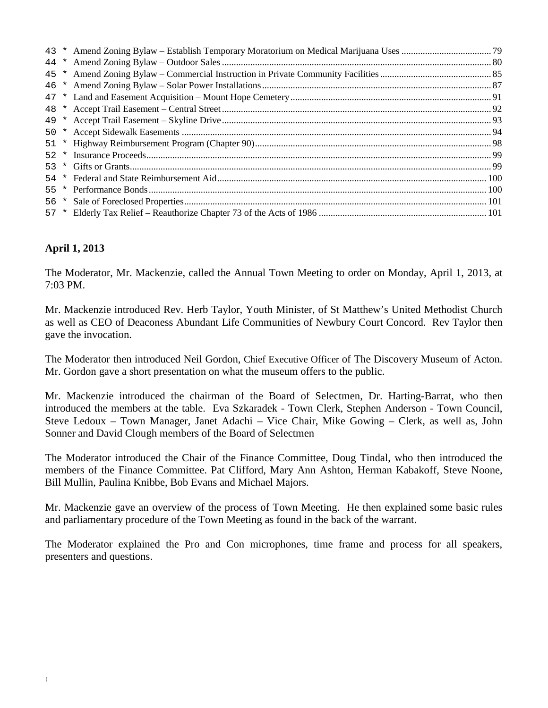| 52 |  |  |
|----|--|--|
| 53 |  |  |
|    |  |  |
| 55 |  |  |
| 56 |  |  |
| 57 |  |  |
|    |  |  |

## **April 1, 2013**

The Moderator, Mr. Mackenzie, called the Annual Town Meeting to order on Monday, April 1, 2013, at 7:03 PM.

Mr. Mackenzie introduced Rev. Herb Taylor, Youth Minister, of St Matthew's United Methodist Church as well as CEO of Deaconess Abundant Life Communities of Newbury Court Concord. Rev Taylor then gave the invocation.

The Moderator then introduced Neil Gordon, Chief Executive Officer of The Discovery Museum of Acton. Mr. Gordon gave a short presentation on what the museum offers to the public.

Mr. Mackenzie introduced the chairman of the Board of Selectmen, Dr. Harting-Barrat, who then introduced the members at the table. Eva Szkaradek - Town Clerk, Stephen Anderson - Town Council, Steve Ledoux – Town Manager, Janet Adachi – Vice Chair, Mike Gowing – Clerk, as well as, John Sonner and David Clough members of the Board of Selectmen

The Moderator introduced the Chair of the Finance Committee, Doug Tindal, who then introduced the members of the Finance Committee. Pat Clifford, Mary Ann Ashton, Herman Kabakoff, Steve Noone, Bill Mullin, Paulina Knibbe, Bob Evans and Michael Majors.

Mr. Mackenzie gave an overview of the process of Town Meeting. He then explained some basic rules and parliamentary procedure of the Town Meeting as found in the back of the warrant.

The Moderator explained the Pro and Con microphones, time frame and process for all speakers, presenters and questions.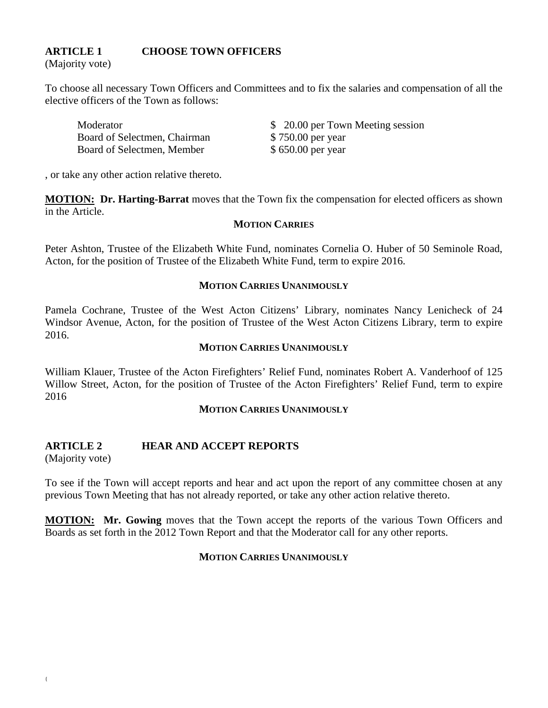## **ARTICLE 1 CHOOSE TOWN OFFICERS**

(Majority vote)

To choose all necessary Town Officers and Committees and to fix the salaries and compensation of all the elective officers of the Town as follows:

| Moderator                    | \$ 20.00 per Town Meeting session |
|------------------------------|-----------------------------------|
| Board of Selectmen, Chairman | \$750.00 per year                 |
| Board of Selectmen, Member   | \$650.00 per year                 |

, or take any other action relative thereto.

**MOTION: Dr. Harting-Barrat** moves that the Town fix the compensation for elected officers as shown in the Article.

#### **MOTION CARRIES**

Peter Ashton, Trustee of the Elizabeth White Fund, nominates Cornelia O. Huber of 50 Seminole Road, Acton, for the position of Trustee of the Elizabeth White Fund, term to expire 2016.

#### **MOTION CARRIES UNANIMOUSLY**

Pamela Cochrane, Trustee of the West Acton Citizens' Library, nominates Nancy Lenicheck of 24 Windsor Avenue, Acton, for the position of Trustee of the West Acton Citizens Library, term to expire 2016.

#### **MOTION CARRIES UNANIMOUSLY**

William Klauer, Trustee of the Acton Firefighters' Relief Fund, nominates Robert A. Vanderhoof of 125 Willow Street, Acton, for the position of Trustee of the Acton Firefighters' Relief Fund, term to expire 2016

#### **MOTION CARRIES UNANIMOUSLY**

#### **ARTICLE 2 HEAR AND ACCEPT REPORTS**

(Majority vote)

To see if the Town will accept reports and hear and act upon the report of any committee chosen at any previous Town Meeting that has not already reported, or take any other action relative thereto.

**MOTION: Mr. Gowing** moves that the Town accept the reports of the various Town Officers and Boards as set forth in the 2012 Town Report and that the Moderator call for any other reports.

#### **MOTION CARRIES UNANIMOUSLY**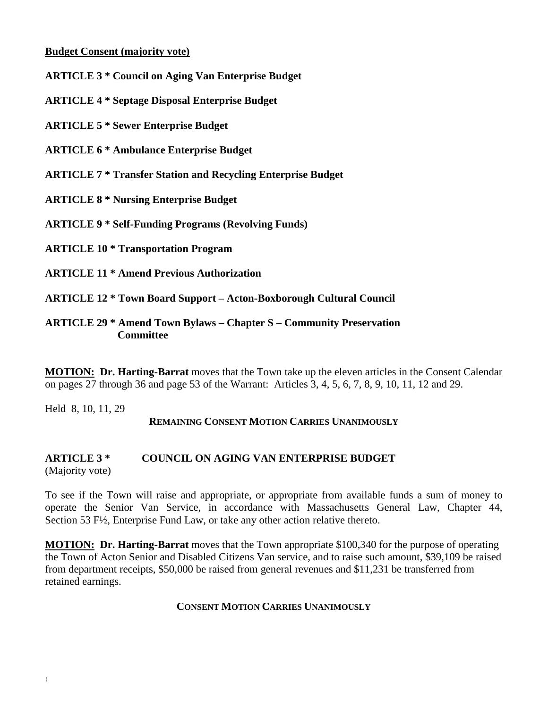## **Budget Consent (majority vote)**

**ARTICLE 3 \* Council on Aging Van Enterprise Budget**

**ARTICLE 4 \* Septage Disposal Enterprise Budget**

**ARTICLE 5 \* Sewer Enterprise Budget**

**ARTICLE 6 \* Ambulance Enterprise Budget**

**ARTICLE 7 \* Transfer Station and Recycling Enterprise Budget**

**ARTICLE 8 \* Nursing Enterprise Budget**

**ARTICLE 9 \* Self-Funding Programs (Revolving Funds)**

**ARTICLE 10 \* Transportation Program**

**ARTICLE 11 \* Amend Previous Authorization**

**ARTICLE 12 \* Town Board Support – Acton-Boxborough Cultural Council**

**ARTICLE 29 \* Amend Town Bylaws – Chapter S – Community Preservation Committee**

**MOTION: Dr. Harting-Barrat** moves that the Town take up the eleven articles in the Consent Calendar on pages 27 through 36 and page 53 of the Warrant: Articles 3, 4, 5, 6, 7, 8, 9, 10, 11, 12 and 29.

Held 8, 10, 11, 29

## **REMAINING CONSENT MOTION CARRIES UNANIMOUSLY**

#### **ARTICLE 3 \* COUNCIL ON AGING VAN ENTERPRISE BUDGET** (Majority vote)

To see if the Town will raise and appropriate, or appropriate from available funds a sum of money to operate the Senior Van Service, in accordance with Massachusetts General Law, Chapter 44, Section 53 F½, Enterprise Fund Law, or take any other action relative thereto.

**MOTION: Dr. Harting-Barrat** moves that the Town appropriate \$100,340 for the purpose of operating the Town of Acton Senior and Disabled Citizens Van service, and to raise such amount, \$39,109 be raised from department receipts, \$50,000 be raised from general revenues and \$11,231 be transferred from retained earnings.

## **CONSENT MOTION CARRIES UNANIMOUSLY**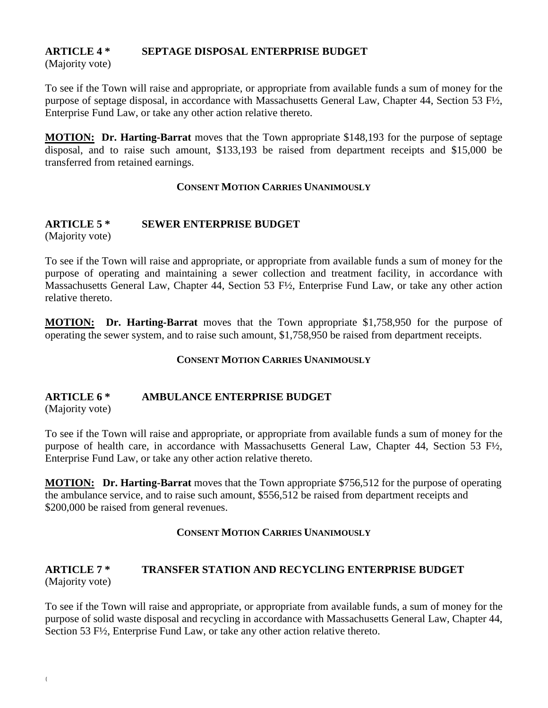## **ARTICLE 4 \* SEPTAGE DISPOSAL ENTERPRISE BUDGET**

(Majority vote)

To see if the Town will raise and appropriate, or appropriate from available funds a sum of money for the purpose of septage disposal, in accordance with Massachusetts General Law, Chapter 44, Section 53 F½, Enterprise Fund Law, or take any other action relative thereto.

**MOTION: Dr. Harting-Barrat** moves that the Town appropriate \$148,193 for the purpose of septage disposal, and to raise such amount, \$133,193 be raised from department receipts and \$15,000 be transferred from retained earnings.

## **CONSENT MOTION CARRIES UNANIMOUSLY**

# **ARTICLE 5 \* SEWER ENTERPRISE BUDGET**

(Majority vote)

To see if the Town will raise and appropriate, or appropriate from available funds a sum of money for the purpose of operating and maintaining a sewer collection and treatment facility, in accordance with Massachusetts General Law, Chapter 44, Section 53 F½, Enterprise Fund Law, or take any other action relative thereto.

**MOTION: Dr. Harting-Barrat** moves that the Town appropriate \$1,758,950 for the purpose of operating the sewer system, and to raise such amount, \$1,758,950 be raised from department receipts.

## **CONSENT MOTION CARRIES UNANIMOUSLY**

# **ARTICLE 6 \* AMBULANCE ENTERPRISE BUDGET**

(Majority vote)

To see if the Town will raise and appropriate, or appropriate from available funds a sum of money for the purpose of health care, in accordance with Massachusetts General Law, Chapter 44, Section 53 F½, Enterprise Fund Law, or take any other action relative thereto.

**MOTION: Dr. Harting-Barrat** moves that the Town appropriate \$756,512 for the purpose of operating the ambulance service, and to raise such amount, \$556,512 be raised from department receipts and \$200,000 be raised from general revenues.

## **CONSENT MOTION CARRIES UNANIMOUSLY**

## **ARTICLE 7 \* TRANSFER STATION AND RECYCLING ENTERPRISE BUDGET** (Majority vote)

To see if the Town will raise and appropriate, or appropriate from available funds, a sum of money for the purpose of solid waste disposal and recycling in accordance with Massachusetts General Law, Chapter 44, Section 53 F½, Enterprise Fund Law, or take any other action relative thereto.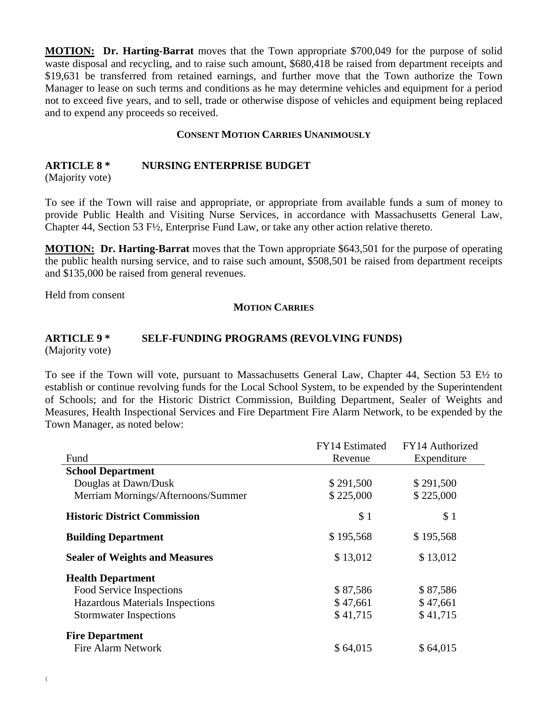**MOTION: Dr. Harting-Barrat** moves that the Town appropriate \$700,049 for the purpose of solid waste disposal and recycling, and to raise such amount, \$680,418 be raised from department receipts and \$19,631 be transferred from retained earnings, and further move that the Town authorize the Town Manager to lease on such terms and conditions as he may determine vehicles and equipment for a period not to exceed five years, and to sell, trade or otherwise dispose of vehicles and equipment being replaced and to expend any proceeds so received.

#### **CONSENT MOTION CARRIES UNANIMOUSLY**

#### **ARTICLE 8 \* NURSING ENTERPRISE BUDGET**

(Majority vote)

To see if the Town will raise and appropriate, or appropriate from available funds a sum of money to provide Public Health and Visiting Nurse Services, in accordance with Massachusetts General Law, Chapter 44, Section 53 F½, Enterprise Fund Law, or take any other action relative thereto.

**MOTION: Dr. Harting-Barrat** moves that the Town appropriate \$643,501 for the purpose of operating the public health nursing service, and to raise such amount, \$508,501 be raised from department receipts and \$135,000 be raised from general revenues.

Held from consent

#### **MOTION CARRIES**

# **ARTICLE 9 \* SELF-FUNDING PROGRAMS (REVOLVING FUNDS)**

(Majority vote)

To see if the Town will vote, pursuant to Massachusetts General Law, Chapter 44, Section 53 E½ to establish or continue revolving funds for the Local School System, to be expended by the Superintendent of Schools; and for the Historic District Commission, Building Department, Sealer of Weights and Measures, Health Inspectional Services and Fire Department Fire Alarm Network, to be expended by the Town Manager, as noted below:

|                                       | FY14 Estimated | FY14 Authorized |
|---------------------------------------|----------------|-----------------|
| Fund                                  | Revenue        | Expenditure     |
| <b>School Department</b>              |                |                 |
| Douglas at Dawn/Dusk                  | \$291,500      | \$291,500       |
| Merriam Mornings/Afternoons/Summer    | \$225,000      | \$225,000       |
| <b>Historic District Commission</b>   | \$1            | \$1             |
| <b>Building Department</b>            | \$195,568      | \$195,568       |
| <b>Sealer of Weights and Measures</b> | \$13,012       | \$13,012        |
| <b>Health Department</b>              |                |                 |
| Food Service Inspections              | \$87,586       | \$87,586        |
| Hazardous Materials Inspections       | \$47,661       | \$47,661        |
| <b>Stormwater Inspections</b>         | \$41,715       | \$41,715        |
| <b>Fire Department</b>                |                |                 |
| Fire Alarm Network                    | \$64,015       | \$64,015        |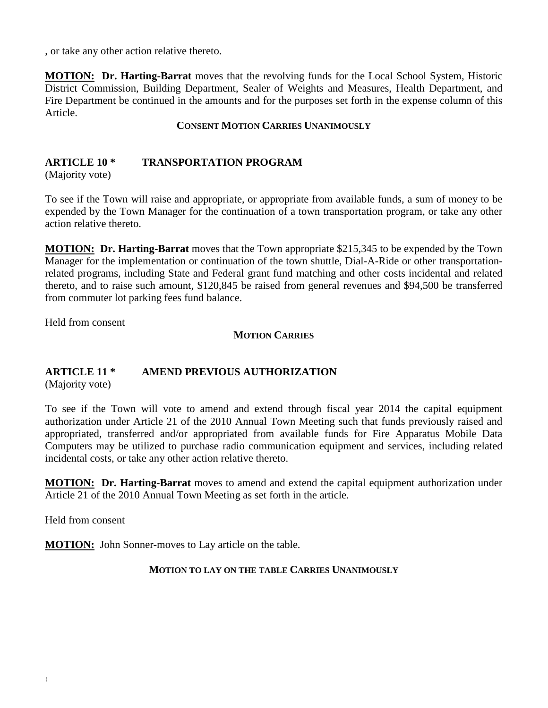, or take any other action relative thereto.

**MOTION: Dr. Harting-Barrat** moves that the revolving funds for the Local School System, Historic District Commission, Building Department, Sealer of Weights and Measures, Health Department, and Fire Department be continued in the amounts and for the purposes set forth in the expense column of this Article.

**CONSENT MOTION CARRIES UNANIMOUSLY**

## **ARTICLE 10 \* TRANSPORTATION PROGRAM**

(Majority vote)

To see if the Town will raise and appropriate, or appropriate from available funds, a sum of money to be expended by the Town Manager for the continuation of a town transportation program, or take any other action relative thereto.

**MOTION: Dr. Harting-Barrat** moves that the Town appropriate \$215,345 to be expended by the Town Manager for the implementation or continuation of the town shuttle, Dial-A-Ride or other transportationrelated programs, including State and Federal grant fund matching and other costs incidental and related thereto, and to raise such amount, \$120,845 be raised from general revenues and \$94,500 be transferred from commuter lot parking fees fund balance.

Held from consent

### **MOTION CARRIES**

## **ARTICLE 11 \* AMEND PREVIOUS AUTHORIZATION**

(Majority vote)

To see if the Town will vote to amend and extend through fiscal year 2014 the capital equipment authorization under Article 21 of the 2010 Annual Town Meeting such that funds previously raised and appropriated, transferred and/or appropriated from available funds for Fire Apparatus Mobile Data Computers may be utilized to purchase radio communication equipment and services, including related incidental costs, or take any other action relative thereto.

**MOTION: Dr. Harting-Barrat** moves to amend and extend the capital equipment authorization under Article 21 of the 2010 Annual Town Meeting as set forth in the article.

Held from consent

**MOTION:** John Sonner-moves to Lay article on the table.

#### **MOTION TO LAY ON THE TABLE CARRIES UNANIMOUSLY**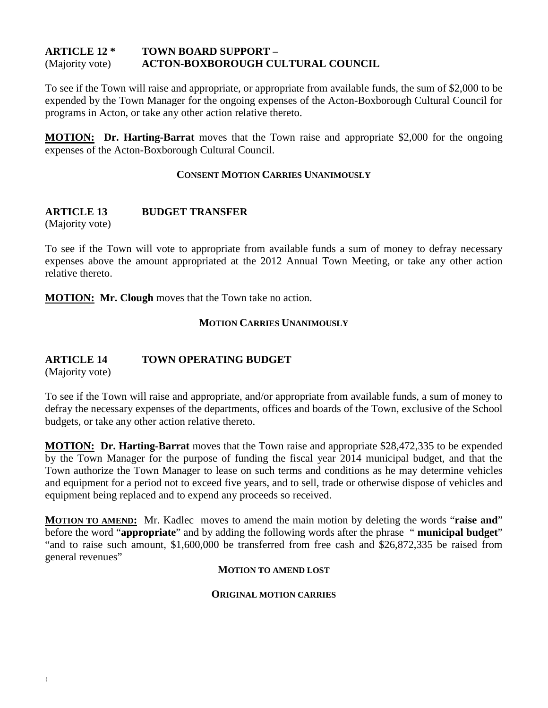#### **ARTICLE 12 \* TOWN BOARD SUPPORT –** (Majority vote) **ACTON-BOXBOROUGH CULTURAL COUNCIL**

To see if the Town will raise and appropriate, or appropriate from available funds, the sum of \$2,000 to be expended by the Town Manager for the ongoing expenses of the Acton-Boxborough Cultural Council for programs in Acton, or take any other action relative thereto.

**MOTION: Dr. Harting-Barrat** moves that the Town raise and appropriate \$2,000 for the ongoing expenses of the Acton-Boxborough Cultural Council.

### **CONSENT MOTION CARRIES UNANIMOUSLY**

## **ARTICLE 13 BUDGET TRANSFER**

(Majority vote)

To see if the Town will vote to appropriate from available funds a sum of money to defray necessary expenses above the amount appropriated at the 2012 Annual Town Meeting, or take any other action relative thereto.

**MOTION: Mr. Clough** moves that the Town take no action.

### **MOTION CARRIES UNANIMOUSLY**

## **ARTICLE 14 TOWN OPERATING BUDGET**

(Majority vote)

To see if the Town will raise and appropriate, and/or appropriate from available funds, a sum of money to defray the necessary expenses of the departments, offices and boards of the Town, exclusive of the School budgets, or take any other action relative thereto.

**MOTION: Dr. Harting-Barrat** moves that the Town raise and appropriate \$28,472,335 to be expended by the Town Manager for the purpose of funding the fiscal year 2014 municipal budget, and that the Town authorize the Town Manager to lease on such terms and conditions as he may determine vehicles and equipment for a period not to exceed five years, and to sell, trade or otherwise dispose of vehicles and equipment being replaced and to expend any proceeds so received.

**MOTION TO AMEND:** Mr. Kadlec moves to amend the main motion by deleting the words "**raise and**" before the word "**appropriate**" and by adding the following words after the phrase " **municipal budget**" "and to raise such amount, \$1,600,000 be transferred from free cash and \$26,872,335 be raised from general revenues"

#### **MOTION TO AMEND LOST**

#### **ORIGINAL MOTION CARRIES**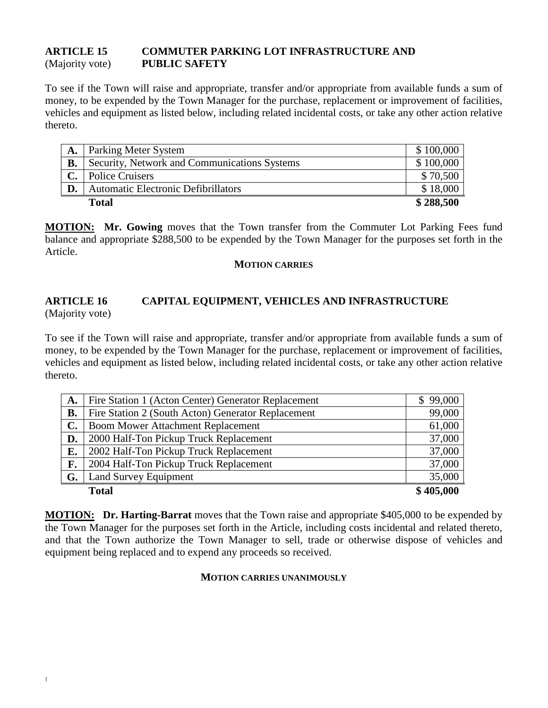## **ARTICLE 15 COMMUTER PARKING LOT INFRASTRUCTURE AND** (Majority vote) **PUBLIC SAFETY**

To see if the Town will raise and appropriate, transfer and/or appropriate from available funds a sum of money, to be expended by the Town Manager for the purchase, replacement or improvement of facilities, vehicles and equipment as listed below, including related incidental costs, or take any other action relative thereto.

| A.        | Parking Meter System                         | \$100,000 |
|-----------|----------------------------------------------|-----------|
| <b>B.</b> | Security, Network and Communications Systems | \$100,000 |
| C.        | <b>Police Cruisers</b>                       | \$70,500  |
|           | <b>Automatic Electronic Defibrillators</b>   | \$18,000  |
|           | <b>Total</b>                                 | \$288,500 |

**MOTION: Mr. Gowing** moves that the Town transfer from the Commuter Lot Parking Fees fund balance and appropriate \$288,500 to be expended by the Town Manager for the purposes set forth in the Article.

#### **MOTION CARRIES**

#### **ARTICLE 16 CAPITAL EQUIPMENT, VEHICLES AND INFRASTRUCTURE** (Majority vote)

To see if the Town will raise and appropriate, transfer and/or appropriate from available funds a sum of money, to be expended by the Town Manager for the purchase, replacement or improvement of facilities, vehicles and equipment as listed below, including related incidental costs, or take any other action relative thereto.

| A.             | Fire Station 1 (Acton Center) Generator Replacement | \$99,000  |
|----------------|-----------------------------------------------------|-----------|
| <b>B.</b>      | Fire Station 2 (South Acton) Generator Replacement  | 99,000    |
| $\mathbf{C}$ . | <b>Boom Mower Attachment Replacement</b>            | 61,000    |
| D.             | 2000 Half-Ton Pickup Truck Replacement              | 37,000    |
| E.             | 2002 Half-Ton Pickup Truck Replacement              | 37,000    |
| F.             | 2004 Half-Ton Pickup Truck Replacement              | 37,000    |
| G.             | Land Survey Equipment                               | 35,000    |
|                | <b>Total</b>                                        | \$405,000 |

**MOTION: Dr. Harting-Barrat** moves that the Town raise and appropriate \$405,000 to be expended by the Town Manager for the purposes set forth in the Article, including costs incidental and related thereto, and that the Town authorize the Town Manager to sell, trade or otherwise dispose of vehicles and equipment being replaced and to expend any proceeds so received.

#### **MOTION CARRIES UNANIMOUSLY**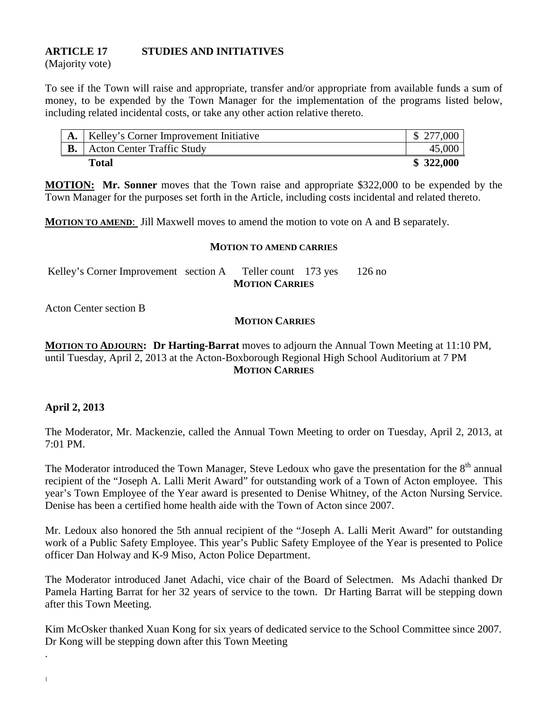## **ARTICLE 17 STUDIES AND INITIATIVES**

(Majority vote)

To see if the Town will raise and appropriate, transfer and/or appropriate from available funds a sum of money, to be expended by the Town Manager for the implementation of the programs listed below, including related incidental costs, or take any other action relative thereto.

| Kelley's Corner Improvement Initiative | \$ 277,000 |
|----------------------------------------|------------|
| <b>Acton Center Traffic Study</b>      | 45,000     |
| Total                                  | \$322,000  |

**MOTION: Mr. Sonner** moves that the Town raise and appropriate \$322,000 to be expended by the Town Manager for the purposes set forth in the Article, including costs incidental and related thereto.

**MOTION TO AMEND**: Jill Maxwell moves to amend the motion to vote on A and B separately.

#### **MOTION TO AMEND CARRIES**

| Kelley's Corner Improvement section A | Teller count $173$ yes $126$ no |  |
|---------------------------------------|---------------------------------|--|
|                                       | <b>MOTION CARRIES</b>           |  |

Acton Center section B

### **MOTION CARRIES**

**MOTION TO ADJOURN: Dr Harting-Barrat** moves to adjourn the Annual Town Meeting at 11:10 PM, until Tuesday, April 2, 2013 at the Acton-Boxborough Regional High School Auditorium at 7 PM **MOTION CARRIES**

## **April 2, 2013**

{

.

The Moderator, Mr. Mackenzie, called the Annual Town Meeting to order on Tuesday, April 2, 2013, at 7:01 PM.

The Moderator introduced the Town Manager, Steve Ledoux who gave the presentation for the  $8<sup>th</sup>$  annual recipient of the "Joseph A. Lalli Merit Award" for outstanding work of a Town of Acton employee. This year's Town Employee of the Year award is presented to Denise Whitney, of the Acton Nursing Service. Denise has been a certified home health aide with the Town of Acton since 2007.

Mr. Ledoux also honored the 5th annual recipient of the "Joseph A. Lalli Merit Award" for outstanding work of a Public Safety Employee. This year's Public Safety Employee of the Year is presented to Police officer Dan Holway and K-9 Miso, Acton Police Department.

The Moderator introduced Janet Adachi, vice chair of the Board of Selectmen. Ms Adachi thanked Dr Pamela Harting Barrat for her 32 years of service to the town. Dr Harting Barrat will be stepping down after this Town Meeting.

Kim McOsker thanked Xuan Kong for six years of dedicated service to the School Committee since 2007. Dr Kong will be stepping down after this Town Meeting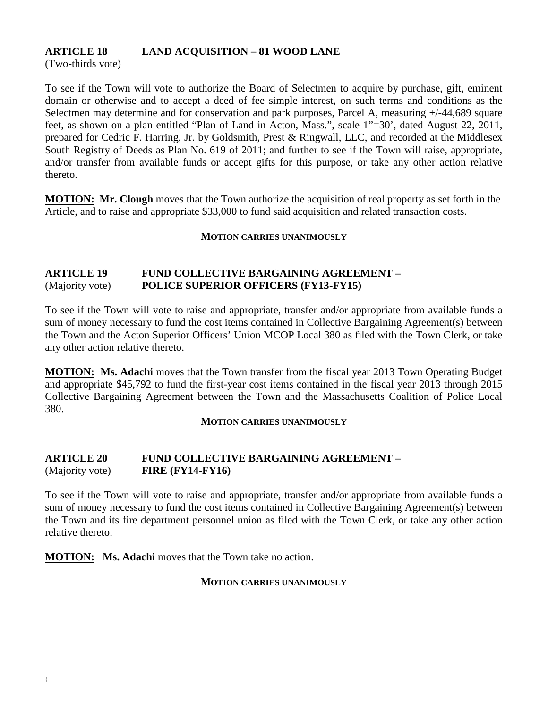## **ARTICLE 18 LAND ACQUISITION – 81 WOOD LANE**

(Two-thirds vote)

To see if the Town will vote to authorize the Board of Selectmen to acquire by purchase, gift, eminent domain or otherwise and to accept a deed of fee simple interest, on such terms and conditions as the Selectmen may determine and for conservation and park purposes, Parcel A, measuring  $+/-44,689$  square feet, as shown on a plan entitled "Plan of Land in Acton, Mass.", scale 1"=30', dated August 22, 2011, prepared for Cedric F. Harring, Jr. by Goldsmith, Prest & Ringwall, LLC, and recorded at the Middlesex South Registry of Deeds as Plan No. 619 of 2011; and further to see if the Town will raise, appropriate, and/or transfer from available funds or accept gifts for this purpose, or take any other action relative thereto.

**MOTION:** Mr. Clough moves that the Town authorize the acquisition of real property as set forth in the Article, and to raise and appropriate \$33,000 to fund said acquisition and related transaction costs.

#### **MOTION CARRIES UNANIMOUSLY**

## **ARTICLE 19 FUND COLLECTIVE BARGAINING AGREEMENT –** (Majority vote) **POLICE SUPERIOR OFFICERS (FY13-FY15)**

To see if the Town will vote to raise and appropriate, transfer and/or appropriate from available funds a sum of money necessary to fund the cost items contained in Collective Bargaining Agreement(s) between the Town and the Acton Superior Officers' Union MCOP Local 380 as filed with the Town Clerk, or take any other action relative thereto.

**MOTION: Ms. Adachi** moves that the Town transfer from the fiscal year 2013 Town Operating Budget and appropriate \$45,792 to fund the first-year cost items contained in the fiscal year 2013 through 2015 Collective Bargaining Agreement between the Town and the Massachusetts Coalition of Police Local 380.

#### **MOTION CARRIES UNANIMOUSLY**

### **ARTICLE 20 FUND COLLECTIVE BARGAINING AGREEMENT –** (Majority vote) **FIRE (FY14-FY16)**

To see if the Town will vote to raise and appropriate, transfer and/or appropriate from available funds a sum of money necessary to fund the cost items contained in Collective Bargaining Agreement(s) between the Town and its fire department personnel union as filed with the Town Clerk, or take any other action relative thereto.

**MOTION: Ms. Adachi** moves that the Town take no action.

#### **MOTION CARRIES UNANIMOUSLY**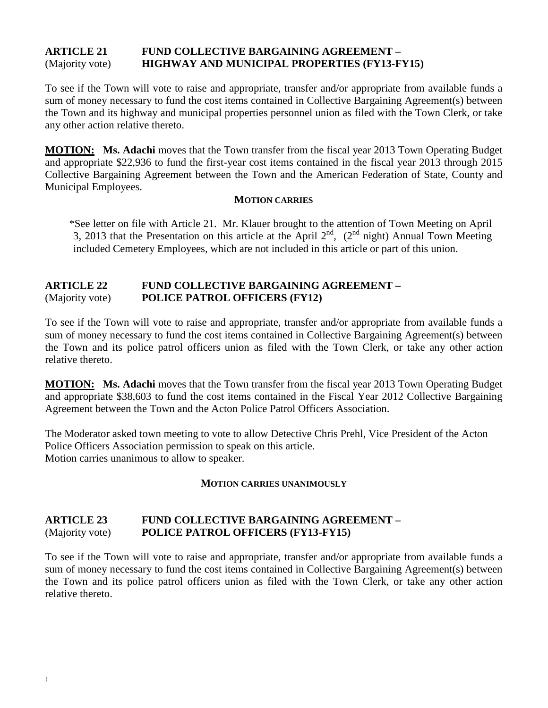## **ARTICLE 21 FUND COLLECTIVE BARGAINING AGREEMENT –** (Majority vote) **HIGHWAY AND MUNICIPAL PROPERTIES (FY13-FY15)**

To see if the Town will vote to raise and appropriate, transfer and/or appropriate from available funds a sum of money necessary to fund the cost items contained in Collective Bargaining Agreement(s) between the Town and its highway and municipal properties personnel union as filed with the Town Clerk, or take any other action relative thereto.

**MOTION: Ms. Adachi** moves that the Town transfer from the fiscal year 2013 Town Operating Budget and appropriate \$22,936 to fund the first-year cost items contained in the fiscal year 2013 through 2015 Collective Bargaining Agreement between the Town and the American Federation of State, County and Municipal Employees.

#### **MOTION CARRIES**

\*See letter on file with Article 21. Mr. Klauer brought to the attention of Town Meeting on April 3, 2013 that the Presentation on this article at the April  $2<sup>nd</sup>$ ,  $(2<sup>nd</sup>$  night) Annual Town Meeting included Cemetery Employees, which are not included in this article or part of this union.

## **ARTICLE 22 FUND COLLECTIVE BARGAINING AGREEMENT –** (Majority vote) **POLICE PATROL OFFICERS (FY12)**

To see if the Town will vote to raise and appropriate, transfer and/or appropriate from available funds a sum of money necessary to fund the cost items contained in Collective Bargaining Agreement(s) between the Town and its police patrol officers union as filed with the Town Clerk, or take any other action relative thereto.

**MOTION: Ms. Adachi** moves that the Town transfer from the fiscal year 2013 Town Operating Budget and appropriate \$38,603 to fund the cost items contained in the Fiscal Year 2012 Collective Bargaining Agreement between the Town and the Acton Police Patrol Officers Association.

The Moderator asked town meeting to vote to allow Detective Chris Prehl, Vice President of the Acton Police Officers Association permission to speak on this article. Motion carries unanimous to allow to speaker.

## **MOTION CARRIES UNANIMOUSLY**

## **ARTICLE 23 FUND COLLECTIVE BARGAINING AGREEMENT –** (Majority vote) **POLICE PATROL OFFICERS (FY13-FY15)**

To see if the Town will vote to raise and appropriate, transfer and/or appropriate from available funds a sum of money necessary to fund the cost items contained in Collective Bargaining Agreement(s) between the Town and its police patrol officers union as filed with the Town Clerk, or take any other action relative thereto.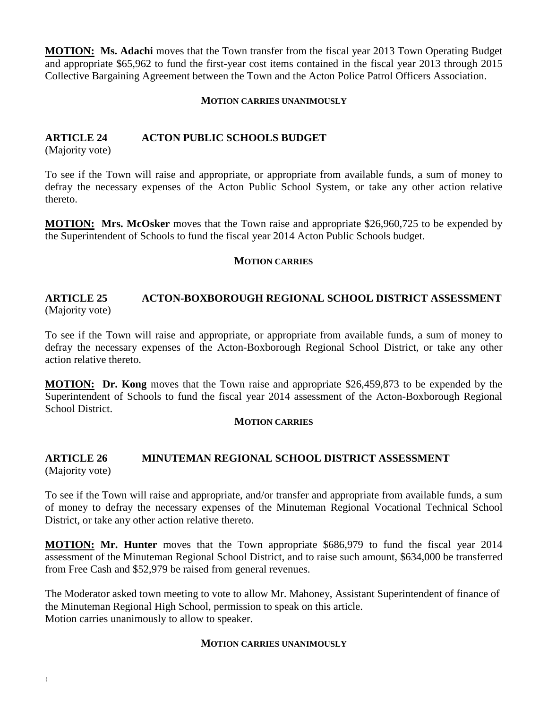**MOTION: Ms. Adachi** moves that the Town transfer from the fiscal year 2013 Town Operating Budget and appropriate \$65,962 to fund the first-year cost items contained in the fiscal year 2013 through 2015 Collective Bargaining Agreement between the Town and the Acton Police Patrol Officers Association.

#### **MOTION CARRIES UNANIMOUSLY**

## **ARTICLE 24 ACTON PUBLIC SCHOOLS BUDGET**

(Majority vote)

To see if the Town will raise and appropriate, or appropriate from available funds, a sum of money to defray the necessary expenses of the Acton Public School System, or take any other action relative thereto.

**MOTION: Mrs. McOsker** moves that the Town raise and appropriate \$26,960,725 to be expended by the Superintendent of Schools to fund the fiscal year 2014 Acton Public Schools budget.

#### **MOTION CARRIES**

#### **ARTICLE 25 ACTON-BOXBOROUGH REGIONAL SCHOOL DISTRICT ASSESSMENT** (Majority vote)

To see if the Town will raise and appropriate, or appropriate from available funds, a sum of money to defray the necessary expenses of the Acton-Boxborough Regional School District, or take any other action relative thereto.

**MOTION: Dr. Kong** moves that the Town raise and appropriate \$26,459,873 to be expended by the Superintendent of Schools to fund the fiscal year 2014 assessment of the Acton-Boxborough Regional School District.

#### **MOTION CARRIES**

#### **ARTICLE 26 MINUTEMAN REGIONAL SCHOOL DISTRICT ASSESSMENT** (Majority vote)

To see if the Town will raise and appropriate, and/or transfer and appropriate from available funds, a sum of money to defray the necessary expenses of the Minuteman Regional Vocational Technical School District, or take any other action relative thereto.

**MOTION: Mr. Hunter** moves that the Town appropriate \$686,979 to fund the fiscal year 2014 assessment of the Minuteman Regional School District, and to raise such amount, \$634,000 be transferred from Free Cash and \$52,979 be raised from general revenues.

The Moderator asked town meeting to vote to allow Mr. Mahoney, Assistant Superintendent of finance of the Minuteman Regional High School, permission to speak on this article. Motion carries unanimously to allow to speaker.

#### **MOTION CARRIES UNANIMOUSLY**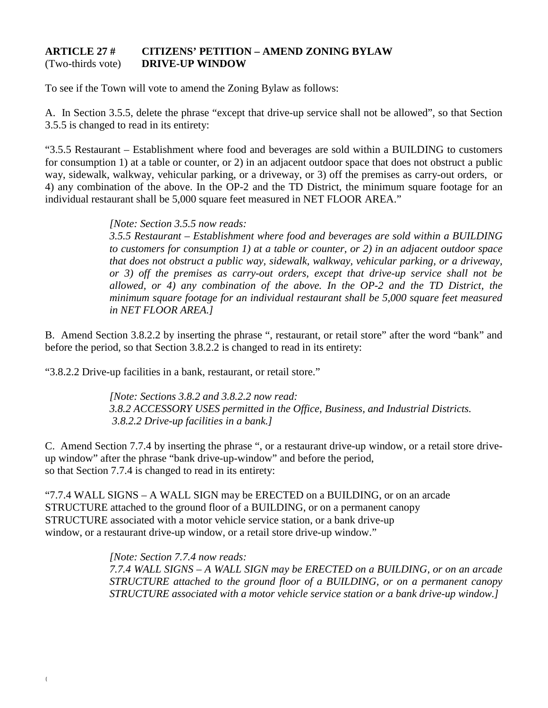### **ARTICLE 27 # CITIZENS' PETITION – AMEND ZONING BYLAW**  (Two-thirds vote) **DRIVE-UP WINDOW**

To see if the Town will vote to amend the Zoning Bylaw as follows:

A. In Section 3.5.5, delete the phrase "except that drive-up service shall not be allowed", so that Section 3.5.5 is changed to read in its entirety:

"3.5.5 Restaurant – Establishment where food and beverages are sold within a BUILDING to customers for consumption 1) at a table or counter, or 2) in an adjacent outdoor space that does not obstruct a public way, sidewalk, walkway, vehicular parking, or a driveway, or 3) off the premises as carry-out orders, or 4) any combination of the above. In the OP-2 and the TD District, the minimum square footage for an individual restaurant shall be 5,000 square feet measured in NET FLOOR AREA."

*[Note: Section 3.5.5 now reads:*

*3.5.5 Restaurant – Establishment where food and beverages are sold within a BUILDING to customers for consumption 1) at a table or counter, or 2) in an adjacent outdoor space that does not obstruct a public way, sidewalk, walkway, vehicular parking, or a driveway, or 3) off the premises as carry-out orders, except that drive-up service shall not be allowed, or 4) any combination of the above. In the OP-2 and the TD District, the minimum square footage for an individual restaurant shall be 5,000 square feet measured in NET FLOOR AREA.]*

B. Amend Section 3.8.2.2 by inserting the phrase ", restaurant, or retail store" after the word "bank" and before the period, so that Section 3.8.2.2 is changed to read in its entirety:

"3.8.2.2 Drive-up facilities in a bank, restaurant, or retail store."

*[Note: Sections 3.8.2 and 3.8.2.2 now read: 3.8.2 ACCESSORY USES permitted in the Office, Business, and Industrial Districts. 3.8.2.2 Drive-up facilities in a bank.]*

C. Amend Section 7.7.4 by inserting the phrase ", or a restaurant drive-up window, or a retail store driveup window" after the phrase "bank drive-up-window" and before the period, so that Section 7.7.4 is changed to read in its entirety:

"7.7.4 WALL SIGNS – A WALL SIGN may be ERECTED on a BUILDING, or on an arcade STRUCTURE attached to the ground floor of a BUILDING, or on a permanent canopy STRUCTURE associated with a motor vehicle service station, or a bank drive-up window, or a restaurant drive-up window, or a retail store drive-up window."

> *[Note: Section 7.7.4 now reads: 7.7.4 WALL SIGNS – A WALL SIGN may be ERECTED on a BUILDING, or on an arcade STRUCTURE attached to the ground floor of a BUILDING, or on a permanent canopy STRUCTURE associated with a motor vehicle service station or a bank drive-up window.]*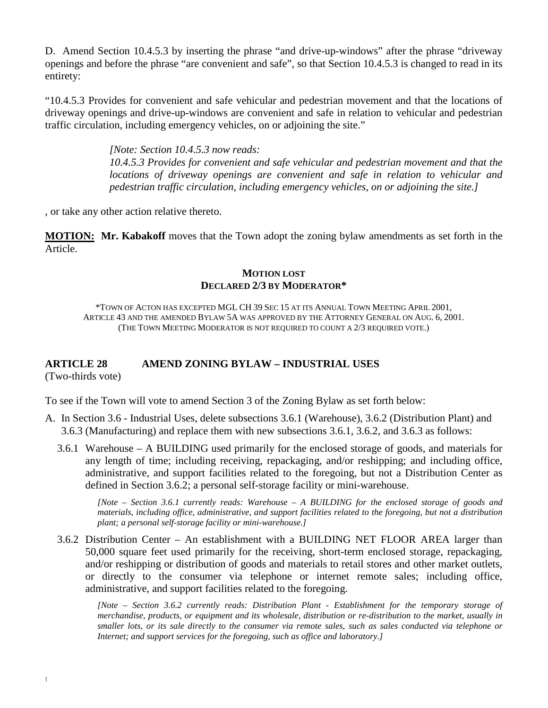D. Amend Section 10.4.5.3 by inserting the phrase "and drive-up-windows" after the phrase "driveway openings and before the phrase "are convenient and safe", so that Section 10.4.5.3 is changed to read in its entirety:

"10.4.5.3 Provides for convenient and safe vehicular and pedestrian movement and that the locations of driveway openings and drive-up-windows are convenient and safe in relation to vehicular and pedestrian traffic circulation, including emergency vehicles, on or adjoining the site."

> *[Note: Section 10.4.5.3 now reads: 10.4.5.3 Provides for convenient and safe vehicular and pedestrian movement and that the locations of driveway openings are convenient and safe in relation to vehicular and pedestrian traffic circulation, including emergency vehicles, on or adjoining the site.]*

, or take any other action relative thereto.

**MOTION: Mr. Kabakoff** moves that the Town adopt the zoning bylaw amendments as set forth in the Article.

#### **MOTION LOST DECLARED 2/3 BY MODERATOR\***

\*TOWN OF ACTON HAS EXCEPTED MGL CH 39 SEC 15 AT ITS ANNUAL TOWN MEETING APRIL 2001, ARTICLE 43 AND THE AMENDED BYLAW 5A WAS APPROVED BY THE ATTORNEY GENERAL ON AUG. 6, 2001. (THE TOWN MEETING MODERATOR IS NOT REQUIRED TO COUNT A 2/3 REQUIRED VOTE.)

# **ARTICLE 28 AMEND ZONING BYLAW – INDUSTRIAL USES**

(Two-thirds vote)

To see if the Town will vote to amend Section 3 of the Zoning Bylaw as set forth below:

- A. In Section 3.6 Industrial Uses, delete subsections 3.6.1 (Warehouse), 3.6.2 (Distribution Plant) and 3.6.3 (Manufacturing) and replace them with new subsections 3.6.1, 3.6.2, and 3.6.3 as follows:
	- 3.6.1 Warehouse A BUILDING used primarily for the enclosed storage of goods, and materials for any length of time; including receiving, repackaging, and/or reshipping; and including office, administrative, and support facilities related to the foregoing, but not a Distribution Center as defined in Section 3.6.2; a personal self-storage facility or mini-warehouse.

*[Note – Section 3.6.1 currently reads: Warehouse – A BUILDING for the enclosed storage of goods and materials, including office, administrative, and support facilities related to the foregoing, but not a distribution plant; a personal self-storage facility or mini-warehouse.]*

3.6.2 Distribution Center – An establishment with a BUILDING NET FLOOR AREA larger than 50,000 square feet used primarily for the receiving, short-term enclosed storage, repackaging, and/or reshipping or distribution of goods and materials to retail stores and other market outlets, or directly to the consumer via telephone or internet remote sales; including office, administrative, and support facilities related to the foregoing.

*[Note – Section 3.6.2 currently reads: Distribution Plant - Establishment for the temporary storage of merchandise, products, or equipment and its wholesale, distribution or re-distribution to the market, usually in smaller lots, or its sale directly to the consumer via remote sales, such as sales conducted via telephone or Internet; and support services for the foregoing, such as office and laboratory.]*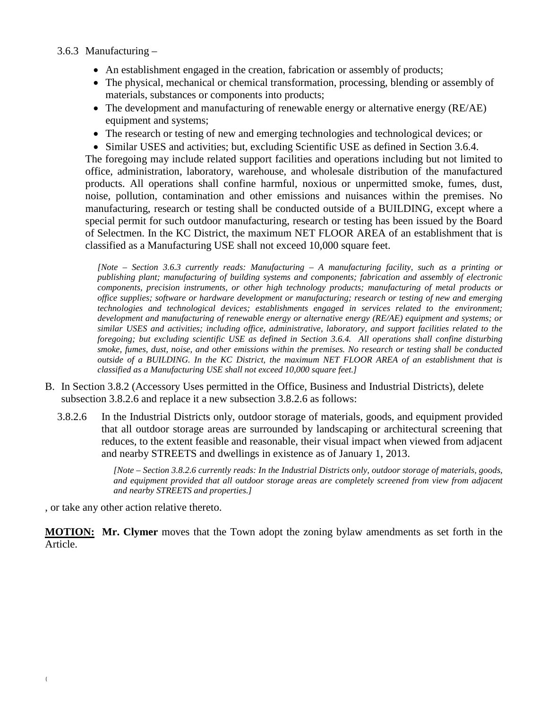## 3.6.3 Manufacturing –

- An establishment engaged in the creation, fabrication or assembly of products;
- The physical, mechanical or chemical transformation, processing, blending or assembly of materials, substances or components into products;
- The development and manufacturing of renewable energy or alternative energy (RE/AE) equipment and systems;
- The research or testing of new and emerging technologies and technological devices; or
- Similar USES and activities; but, excluding Scientific USE as defined in Section 3.6.4.

The foregoing may include related support facilities and operations including but not limited to office, administration, laboratory, warehouse, and wholesale distribution of the manufactured products. All operations shall confine harmful, noxious or unpermitted smoke, fumes, dust, noise, pollution, contamination and other emissions and nuisances within the premises. No manufacturing, research or testing shall be conducted outside of a BUILDING, except where a special permit for such outdoor manufacturing, research or testing has been issued by the Board of Selectmen. In the KC District, the maximum NET FLOOR AREA of an establishment that is classified as a Manufacturing USE shall not exceed 10,000 square feet.

*[Note – Section 3.6.3 currently reads: Manufacturing – A manufacturing facility, such as a printing or publishing plant; manufacturing of building systems and components; fabrication and assembly of electronic components, precision instruments, or other high technology products; manufacturing of metal products or office supplies; software or hardware development or manufacturing; research or testing of new and emerging technologies and technological devices; establishments engaged in services related to the environment; development and manufacturing of renewable energy or alternative energy (RE/AE) equipment and systems; or similar USES and activities; including office, administrative, laboratory, and support facilities related to the foregoing; but excluding scientific USE as defined in Section 3.6.4. All operations shall confine disturbing smoke, fumes, dust, noise, and other emissions within the premises. No research or testing shall be conducted outside of a BUILDING. In the KC District, the maximum NET FLOOR AREA of an establishment that is classified as a Manufacturing USE shall not exceed 10,000 square feet.]*

- B. In Section 3.8.2 (Accessory Uses permitted in the Office, Business and Industrial Districts), delete subsection 3.8.2.6 and replace it a new subsection 3.8.2.6 as follows:
	- 3.8.2.6 In the Industrial Districts only, outdoor storage of materials, goods, and equipment provided that all outdoor storage areas are surrounded by landscaping or architectural screening that reduces, to the extent feasible and reasonable, their visual impact when viewed from adjacent and nearby STREETS and dwellings in existence as of January 1, 2013.

*[Note – Section 3.8.2.6 currently reads: In the Industrial Districts only, outdoor storage of materials, goods, and equipment provided that all outdoor storage areas are completely screened from view from adjacent and nearby STREETS and properties.]*

, or take any other action relative thereto.

**MOTION: Mr. Clymer** moves that the Town adopt the zoning bylaw amendments as set forth in the Article.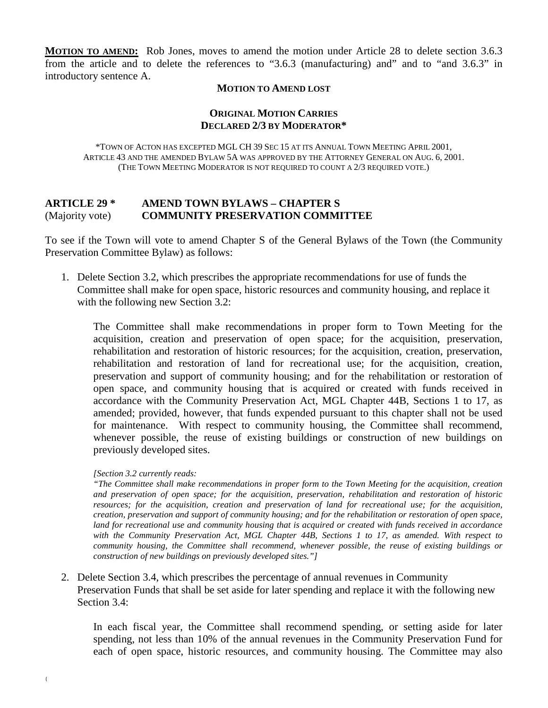**MOTION TO AMEND:** Rob Jones, moves to amend the motion under Article 28 to delete section 3.6.3 from the article and to delete the references to "3.6.3 (manufacturing) and" and to "and 3.6.3" in introductory sentence A.

#### **MOTION TO AMEND LOST**

#### **ORIGINAL MOTION CARRIES DECLARED 2/3 BY MODERATOR\***

\*TOWN OF ACTON HAS EXCEPTED MGL CH 39 SEC 15 AT ITS ANNUAL TOWN MEETING APRIL 2001, ARTICLE 43 AND THE AMENDED BYLAW 5A WAS APPROVED BY THE ATTORNEY GENERAL ON AUG. 6, 2001. (THE TOWN MEETING MODERATOR IS NOT REQUIRED TO COUNT A 2/3 REQUIRED VOTE.)

#### **ARTICLE 29 \* AMEND TOWN BYLAWS – CHAPTER S** (Majority vote) **COMMUNITY PRESERVATION COMMITTEE**

To see if the Town will vote to amend Chapter S of the General Bylaws of the Town (the Community Preservation Committee Bylaw) as follows:

1. Delete Section 3.2, which prescribes the appropriate recommendations for use of funds the Committee shall make for open space, historic resources and community housing, and replace it with the following new Section 3.2:

The Committee shall make recommendations in proper form to Town Meeting for the acquisition, creation and preservation of open space; for the acquisition, preservation, rehabilitation and restoration of historic resources; for the acquisition, creation, preservation, rehabilitation and restoration of land for recreational use; for the acquisition, creation, preservation and support of community housing; and for the rehabilitation or restoration of open space, and community housing that is acquired or created with funds received in accordance with the Community Preservation Act, MGL Chapter 44B, Sections 1 to 17, as amended; provided, however, that funds expended pursuant to this chapter shall not be used for maintenance. With respect to community housing, the Committee shall recommend, whenever possible, the reuse of existing buildings or construction of new buildings on previously developed sites.

#### *[Section 3.2 currently reads:*

*"The Committee shall make recommendations in proper form to the Town Meeting for the acquisition, creation and preservation of open space; for the acquisition, preservation, rehabilitation and restoration of historic resources; for the acquisition, creation and preservation of land for recreational use; for the acquisition, creation, preservation and support of community housing; and for the rehabilitation or restoration of open space, land for recreational use and community housing that is acquired or created with funds received in accordance with the Community Preservation Act, MGL Chapter 44B, Sections 1 to 17, as amended. With respect to community housing, the Committee shall recommend, whenever possible, the reuse of existing buildings or construction of new buildings on previously developed sites."]*

2. Delete Section 3.4, which prescribes the percentage of annual revenues in Community Preservation Funds that shall be set aside for later spending and replace it with the following new Section 3.4:

In each fiscal year, the Committee shall recommend spending, or setting aside for later spending, not less than 10% of the annual revenues in the Community Preservation Fund for each of open space, historic resources, and community housing. The Committee may also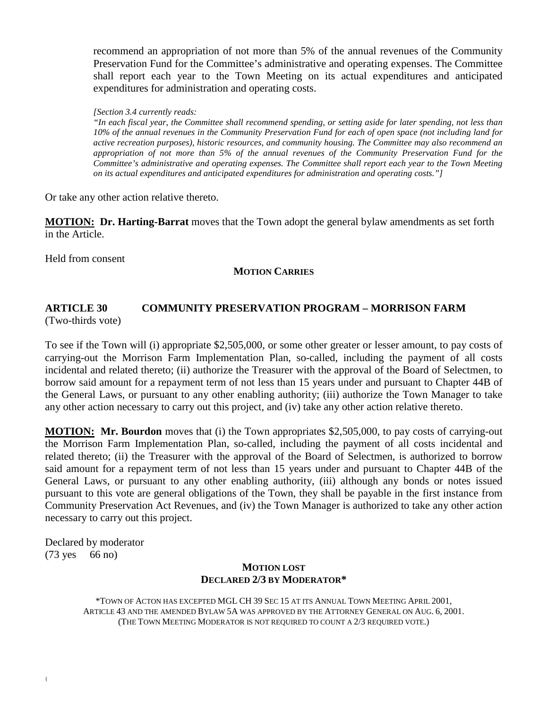recommend an appropriation of not more than 5% of the annual revenues of the Community Preservation Fund for the Committee's administrative and operating expenses. The Committee shall report each year to the Town Meeting on its actual expenditures and anticipated expenditures for administration and operating costs.

#### *[Section 3.4 currently reads:*

*"In each fiscal year, the Committee shall recommend spending, or setting aside for later spending, not less than 10% of the annual revenues in the Community Preservation Fund for each of open space (not including land for active recreation purposes), historic resources, and community housing. The Committee may also recommend an appropriation of not more than 5% of the annual revenues of the Community Preservation Fund for the Committee's administrative and operating expenses. The Committee shall report each year to the Town Meeting on its actual expenditures and anticipated expenditures for administration and operating costs."]*

Or take any other action relative thereto.

**MOTION: Dr. Harting-Barrat** moves that the Town adopt the general bylaw amendments as set forth in the Article.

Held from consent

#### **MOTION CARRIES**

# **ARTICLE 30 COMMUNITY PRESERVATION PROGRAM – MORRISON FARM**

(Two-thirds vote)

To see if the Town will (i) appropriate \$2,505,000, or some other greater or lesser amount, to pay costs of carrying-out the Morrison Farm Implementation Plan, so-called, including the payment of all costs incidental and related thereto; (ii) authorize the Treasurer with the approval of the Board of Selectmen, to borrow said amount for a repayment term of not less than 15 years under and pursuant to Chapter 44B of the General Laws, or pursuant to any other enabling authority; (iii) authorize the Town Manager to take any other action necessary to carry out this project, and (iv) take any other action relative thereto.

**MOTION: Mr. Bourdon** moves that (i) the Town appropriates \$2,505,000, to pay costs of carrying-out the Morrison Farm Implementation Plan, so-called, including the payment of all costs incidental and related thereto; (ii) the Treasurer with the approval of the Board of Selectmen, is authorized to borrow said amount for a repayment term of not less than 15 years under and pursuant to Chapter 44B of the General Laws, or pursuant to any other enabling authority, (iii) although any bonds or notes issued pursuant to this vote are general obligations of the Town, they shall be payable in the first instance from Community Preservation Act Revenues, and (iv) the Town Manager is authorized to take any other action necessary to carry out this project.

Declared by moderator (73 yes 66 no)

#### **MOTION LOST DECLARED 2/3 BY MODERATOR\***

\*TOWN OF ACTON HAS EXCEPTED MGL CH 39 SEC 15 AT ITS ANNUAL TOWN MEETING APRIL 2001, ARTICLE 43 AND THE AMENDED BYLAW 5A WAS APPROVED BY THE ATTORNEY GENERAL ON AUG. 6, 2001. (THE TOWN MEETING MODERATOR IS NOT REQUIRED TO COUNT A 2/3 REQUIRED VOTE.)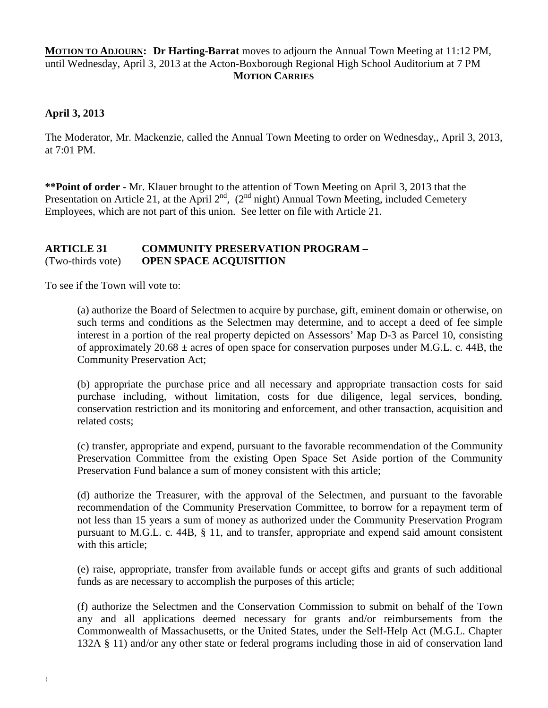## **MOTION TO ADJOURN: Dr Harting-Barrat** moves to adjourn the Annual Town Meeting at 11:12 PM, until Wednesday, April 3, 2013 at the Acton-Boxborough Regional High School Auditorium at 7 PM **MOTION CARRIES**

## **April 3, 2013**

The Moderator, Mr. Mackenzie, called the Annual Town Meeting to order on Wednesday,, April 3, 2013, at 7:01 PM.

**\*\*Point of order -** Mr. Klauer brought to the attention of Town Meeting on April 3, 2013 that the Presentation on Article 21, at the April  $2^{nd}$ ,  $(2^{nd}$  night) Annual Town Meeting, included Cemetery Employees, which are not part of this union. See letter on file with Article 21.

### **ARTICLE 31 COMMUNITY PRESERVATION PROGRAM –** (Two-thirds vote) **OPEN SPACE ACQUISITION**

To see if the Town will vote to:

(a) authorize the Board of Selectmen to acquire by purchase, gift, eminent domain or otherwise, on such terms and conditions as the Selectmen may determine, and to accept a deed of fee simple interest in a portion of the real property depicted on Assessors' Map D-3 as Parcel 10, consisting of approximately  $20.68 \pm \text{ acres}$  of open space for conservation purposes under M.G.L. c. 44B, the Community Preservation Act;

(b) appropriate the purchase price and all necessary and appropriate transaction costs for said purchase including, without limitation, costs for due diligence, legal services, bonding, conservation restriction and its monitoring and enforcement, and other transaction, acquisition and related costs;

(c) transfer, appropriate and expend, pursuant to the favorable recommendation of the Community Preservation Committee from the existing Open Space Set Aside portion of the Community Preservation Fund balance a sum of money consistent with this article;

(d) authorize the Treasurer, with the approval of the Selectmen, and pursuant to the favorable recommendation of the Community Preservation Committee, to borrow for a repayment term of not less than 15 years a sum of money as authorized under the Community Preservation Program pursuant to M.G.L. c. 44B, § 11, and to transfer, appropriate and expend said amount consistent with this article;

(e) raise, appropriate, transfer from available funds or accept gifts and grants of such additional funds as are necessary to accomplish the purposes of this article;

(f) authorize the Selectmen and the Conservation Commission to submit on behalf of the Town any and all applications deemed necessary for grants and/or reimbursements from the Commonwealth of Massachusetts, or the United States, under the Self-Help Act (M.G.L. Chapter 132A § 11) and/or any other state or federal programs including those in aid of conservation land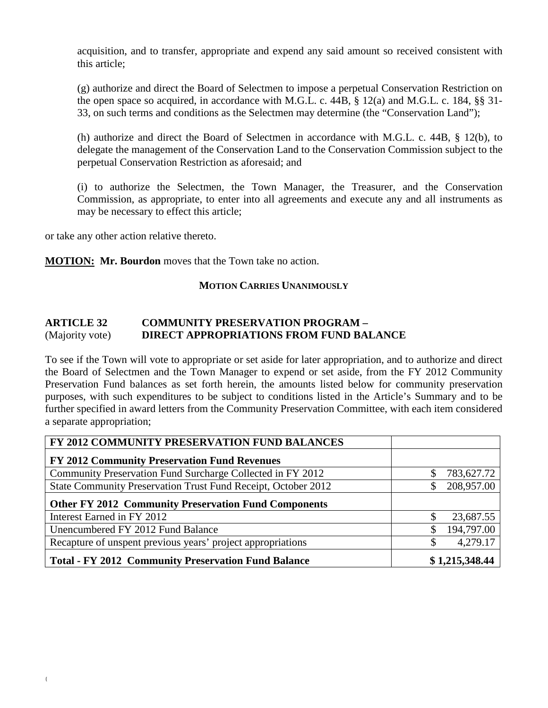acquisition, and to transfer, appropriate and expend any said amount so received consistent with this article;

(g) authorize and direct the Board of Selectmen to impose a perpetual Conservation Restriction on the open space so acquired, in accordance with M.G.L. c. 44B, § 12(a) and M.G.L. c. 184, §§ 31- 33, on such terms and conditions as the Selectmen may determine (the "Conservation Land");

(h) authorize and direct the Board of Selectmen in accordance with M.G.L. c. 44B, § 12(b), to delegate the management of the Conservation Land to the Conservation Commission subject to the perpetual Conservation Restriction as aforesaid; and

(i) to authorize the Selectmen, the Town Manager, the Treasurer, and the Conservation Commission, as appropriate, to enter into all agreements and execute any and all instruments as may be necessary to effect this article;

or take any other action relative thereto.

**MOTION: Mr. Bourdon** moves that the Town take no action.

#### **MOTION CARRIES UNANIMOUSLY**

## **ARTICLE 32 COMMUNITY PRESERVATION PROGRAM –** (Majority vote) **DIRECT APPROPRIATIONS FROM FUND BALANCE**

To see if the Town will vote to appropriate or set aside for later appropriation, and to authorize and direct the Board of Selectmen and the Town Manager to expend or set aside, from the FY 2012 Community Preservation Fund balances as set forth herein, the amounts listed below for community preservation purposes, with such expenditures to be subject to conditions listed in the Article's Summary and to be further specified in award letters from the Community Preservation Committee, with each item considered a separate appropriation;

| FY 2012 COMMUNITY PRESERVATION FUND BALANCES                  |               |                |
|---------------------------------------------------------------|---------------|----------------|
| <b>FY 2012 Community Preservation Fund Revenues</b>           |               |                |
| Community Preservation Fund Surcharge Collected in FY 2012    | S             | 783,627.72     |
| State Community Preservation Trust Fund Receipt, October 2012 |               | 208,957.00     |
| <b>Other FY 2012 Community Preservation Fund Components</b>   |               |                |
| Interest Earned in FY 2012                                    |               | 23,687.55      |
| Unencumbered FY 2012 Fund Balance                             | <sup>\$</sup> | 194,797.00     |
| Recapture of unspent previous years' project appropriations   |               | 4,279.17       |
| <b>Total - FY 2012 Community Preservation Fund Balance</b>    |               | \$1,215,348.44 |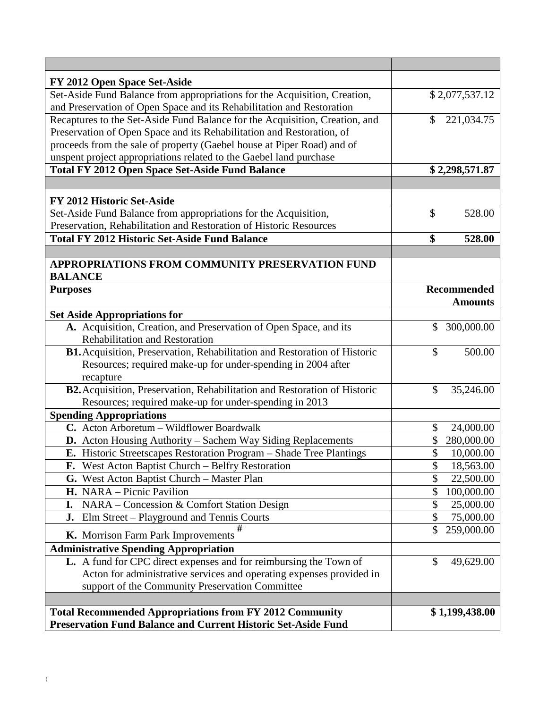| FY 2012 Open Space Set-Aside                                                |                             |
|-----------------------------------------------------------------------------|-----------------------------|
| Set-Aside Fund Balance from appropriations for the Acquisition, Creation,   | \$2,077,537.12              |
| and Preservation of Open Space and its Rehabilitation and Restoration       |                             |
| Recaptures to the Set-Aside Fund Balance for the Acquisition, Creation, and | $\mathcal{S}$<br>221,034.75 |
| Preservation of Open Space and its Rehabilitation and Restoration, of       |                             |
| proceeds from the sale of property (Gaebel house at Piper Road) and of      |                             |
| unspent project appropriations related to the Gaebel land purchase          |                             |
| <b>Total FY 2012 Open Space Set-Aside Fund Balance</b>                      | \$2,298,571.87              |
|                                                                             |                             |
| FY 2012 Historic Set-Aside                                                  |                             |
| Set-Aside Fund Balance from appropriations for the Acquisition,             | $\mathcal{S}$<br>528.00     |
| Preservation, Rehabilitation and Restoration of Historic Resources          |                             |
| <b>Total FY 2012 Historic Set-Aside Fund Balance</b>                        | \$<br>528.00                |
|                                                                             |                             |
| <b>APPROPRIATIONS FROM COMMUNITY PRESERVATION FUND</b>                      |                             |
| <b>BALANCE</b>                                                              |                             |
| <b>Purposes</b>                                                             | <b>Recommended</b>          |
|                                                                             | <b>Amounts</b>              |
| <b>Set Aside Appropriations for</b>                                         |                             |
| A. Acquisition, Creation, and Preservation of Open Space, and its           | \$<br>300,000.00            |
| <b>Rehabilitation and Restoration</b>                                       |                             |
| B1. Acquisition, Preservation, Rehabilitation and Restoration of Historic   | \$<br>500.00                |
| Resources; required make-up for under-spending in 2004 after                |                             |
| recapture                                                                   |                             |
| B2. Acquisition, Preservation, Rehabilitation and Restoration of Historic   | \$<br>35,246.00             |
| Resources; required make-up for under-spending in 2013                      |                             |
| <b>Spending Appropriations</b>                                              |                             |
| C. Acton Arboretum - Wildflower Boardwalk                                   | \$<br>24,000.00             |
| D. Acton Housing Authority - Sachem Way Siding Replacements                 | \$<br>280,000.00            |
| E. Historic Streetscapes Restoration Program – Shade Tree Plantings         | \$<br>10,000.00             |
| F. West Acton Baptist Church – Belfry Restoration                           | \$<br>18,563.00             |
| G. West Acton Baptist Church - Master Plan                                  | \$<br>22,500.00             |
| H. NARA - Picnic Pavilion                                                   | \$<br>100,000.00            |
| NARA - Concession & Comfort Station Design<br>I.                            | \$<br>25,000.00             |
| Elm Street - Playground and Tennis Courts<br>J.                             | \$<br>75,000.00             |
| K. Morrison Farm Park Improvements                                          | \$<br>259,000.00            |
| <b>Administrative Spending Appropriation</b>                                |                             |
| L. A fund for CPC direct expenses and for reimbursing the Town of           | \$<br>49,629.00             |
| Acton for administrative services and operating expenses provided in        |                             |
| support of the Community Preservation Committee                             |                             |
|                                                                             |                             |
| <b>Total Recommended Appropriations from FY 2012 Community</b>              | \$1,199,438.00              |
| <b>Preservation Fund Balance and Current Historic Set-Aside Fund</b>        |                             |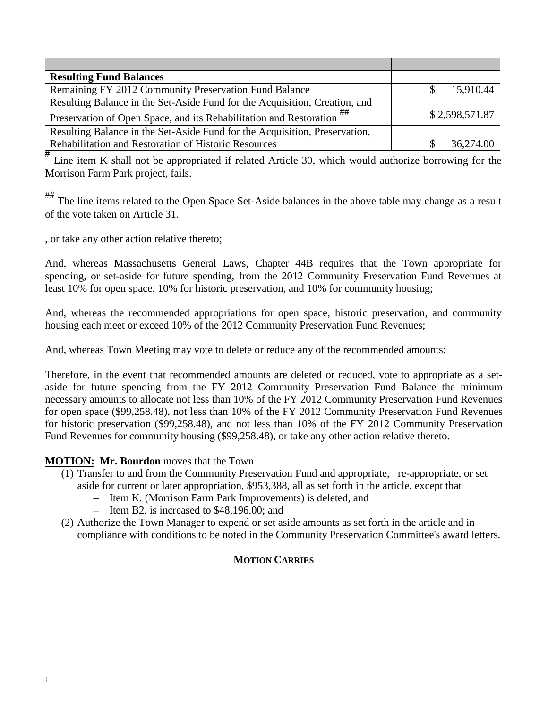| <b>Resulting Fund Balances</b>                                             |                |
|----------------------------------------------------------------------------|----------------|
| Remaining FY 2012 Community Preservation Fund Balance                      | 15,910.44      |
| Resulting Balance in the Set-Aside Fund for the Acquisition, Creation, and |                |
| Preservation of Open Space, and its Rehabilitation and Restoration         | \$2,598,571.87 |
| Resulting Balance in the Set-Aside Fund for the Acquisition, Preservation, |                |
| Rehabilitation and Restoration of Historic Resources                       | 36,274.00      |

<sup>#</sup> Line item K shall not be appropriated if related Article 30, which would authorize borrowing for the Morrison Farm Park project, fails.

The line items related to the Open Space Set-Aside balances in the above table may change as a result of the vote taken on Article 31.

, or take any other action relative thereto;

And, whereas Massachusetts General Laws, Chapter 44B requires that the Town appropriate for spending, or set-aside for future spending, from the 2012 Community Preservation Fund Revenues at least 10% for open space, 10% for historic preservation, and 10% for community housing;

And, whereas the recommended appropriations for open space, historic preservation, and community housing each meet or exceed 10% of the 2012 Community Preservation Fund Revenues;

And, whereas Town Meeting may vote to delete or reduce any of the recommended amounts;

Therefore, in the event that recommended amounts are deleted or reduced, vote to appropriate as a setaside for future spending from the FY 2012 Community Preservation Fund Balance the minimum necessary amounts to allocate not less than 10% of the FY 2012 Community Preservation Fund Revenues for open space (\$99,258.48), not less than 10% of the FY 2012 Community Preservation Fund Revenues for historic preservation (\$99,258.48), and not less than 10% of the FY 2012 Community Preservation Fund Revenues for community housing (\$99,258.48), or take any other action relative thereto.

## **MOTION: Mr. Bourdon** moves that the Town

- (1) Transfer to and from the Community Preservation Fund and appropriate, re-appropriate, or set aside for current or later appropriation, \$953,388, all as set forth in the article, except that
	- Item K. (Morrison Farm Park Improvements) is deleted, and
	- Item B2. is increased to \$48,196.00; and
- (2) Authorize the Town Manager to expend or set aside amounts as set forth in the article and in compliance with conditions to be noted in the Community Preservation Committee's award letters.

## **MOTION CARRIES**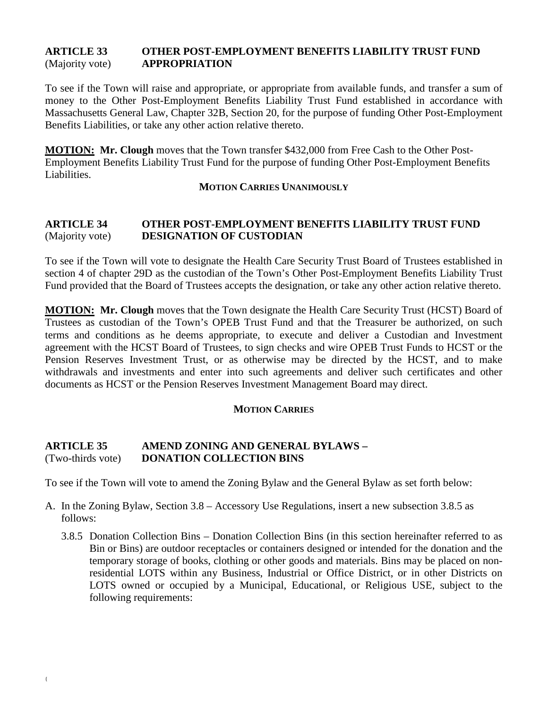## **ARTICLE 33 OTHER POST-EMPLOYMENT BENEFITS LIABILITY TRUST FUND** (Majority vote) **APPROPRIATION**

To see if the Town will raise and appropriate, or appropriate from available funds, and transfer a sum of money to the Other Post-Employment Benefits Liability Trust Fund established in accordance with Massachusetts General Law, Chapter 32B, Section 20, for the purpose of funding Other Post-Employment Benefits Liabilities, or take any other action relative thereto.

**MOTION: Mr. Clough** moves that the Town transfer \$432,000 from Free Cash to the Other Post-Employment Benefits Liability Trust Fund for the purpose of funding Other Post-Employment Benefits Liabilities.

#### **MOTION CARRIES UNANIMOUSLY**

## **ARTICLE 34 OTHER POST-EMPLOYMENT BENEFITS LIABILITY TRUST FUND** (Majority vote) **DESIGNATION OF CUSTODIAN**

To see if the Town will vote to designate the Health Care Security Trust Board of Trustees established in section 4 of chapter 29D as the custodian of the Town's Other Post-Employment Benefits Liability Trust Fund provided that the Board of Trustees accepts the designation, or take any other action relative thereto.

**MOTION: Mr. Clough** moves that the Town designate the Health Care Security Trust (HCST) Board of Trustees as custodian of the Town's OPEB Trust Fund and that the Treasurer be authorized, on such terms and conditions as he deems appropriate, to execute and deliver a Custodian and Investment agreement with the HCST Board of Trustees, to sign checks and wire OPEB Trust Funds to HCST or the Pension Reserves Investment Trust, or as otherwise may be directed by the HCST, and to make withdrawals and investments and enter into such agreements and deliver such certificates and other documents as HCST or the Pension Reserves Investment Management Board may direct.

#### **MOTION CARRIES**

### **ARTICLE 35 AMEND ZONING AND GENERAL BYLAWS –** (Two-thirds vote) **DONATION COLLECTION BINS**

To see if the Town will vote to amend the Zoning Bylaw and the General Bylaw as set forth below:

- A. In the Zoning Bylaw, Section 3.8 Accessory Use Regulations, insert a new subsection 3.8.5 as follows:
	- 3.8.5 Donation Collection Bins Donation Collection Bins (in this section hereinafter referred to as Bin or Bins) are outdoor receptacles or containers designed or intended for the donation and the temporary storage of books, clothing or other goods and materials. Bins may be placed on nonresidential LOTS within any Business, Industrial or Office District, or in other Districts on LOTS owned or occupied by a Municipal, Educational, or Religious USE, subject to the following requirements: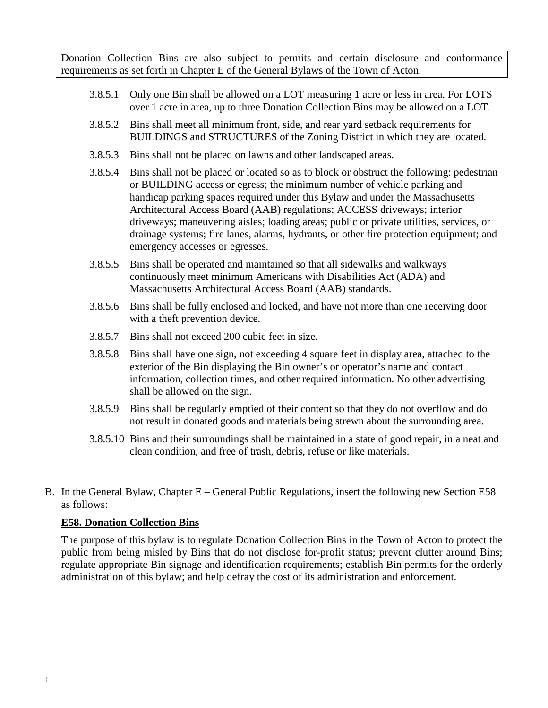Donation Collection Bins are also subject to permits and certain disclosure and conformance requirements as set forth in Chapter E of the General Bylaws of the Town of Acton.

- 3.8.5.1 Only one Bin shall be allowed on a LOT measuring 1 acre or less in area. For LOTS over 1 acre in area, up to three Donation Collection Bins may be allowed on a LOT.
- 3.8.5.2 Bins shall meet all minimum front, side, and rear yard setback requirements for BUILDINGS and STRUCTURES of the Zoning District in which they are located.
- 3.8.5.3 Bins shall not be placed on lawns and other landscaped areas.
- 3.8.5.4 Bins shall not be placed or located so as to block or obstruct the following: pedestrian or BUILDING access or egress; the minimum number of vehicle parking and handicap parking spaces required under this Bylaw and under the Massachusetts Architectural Access Board (AAB) regulations; ACCESS driveways; interior driveways; maneuvering aisles; loading areas; public or private utilities, services, or drainage systems; fire lanes, alarms, hydrants, or other fire protection equipment; and emergency accesses or egresses.
- 3.8.5.5 Bins shall be operated and maintained so that all sidewalks and walkways continuously meet minimum Americans with Disabilities Act (ADA) and Massachusetts Architectural Access Board (AAB) standards.
- 3.8.5.6 Bins shall be fully enclosed and locked, and have not more than one receiving door with a theft prevention device.
- 3.8.5.7 Bins shall not exceed 200 cubic feet in size.
- 3.8.5.8 Bins shall have one sign, not exceeding 4 square feet in display area, attached to the exterior of the Bin displaying the Bin owner's or operator's name and contact information, collection times, and other required information. No other advertising shall be allowed on the sign.
- 3.8.5.9 Bins shall be regularly emptied of their content so that they do not overflow and do not result in donated goods and materials being strewn about the surrounding area.
- 3.8.5.10 Bins and their surroundings shall be maintained in a state of good repair, in a neat and clean condition, and free of trash, debris, refuse or like materials.
- B. In the General Bylaw, Chapter E General Public Regulations, insert the following new Section E58 as follows:

## **E58. Donation Collection Bins**

The purpose of this bylaw is to regulate Donation Collection Bins in the Town of Acton to protect the public from being misled by Bins that do not disclose for-profit status; prevent clutter around Bins; regulate appropriate Bin signage and identification requirements; establish Bin permits for the orderly administration of this bylaw; and help defray the cost of its administration and enforcement.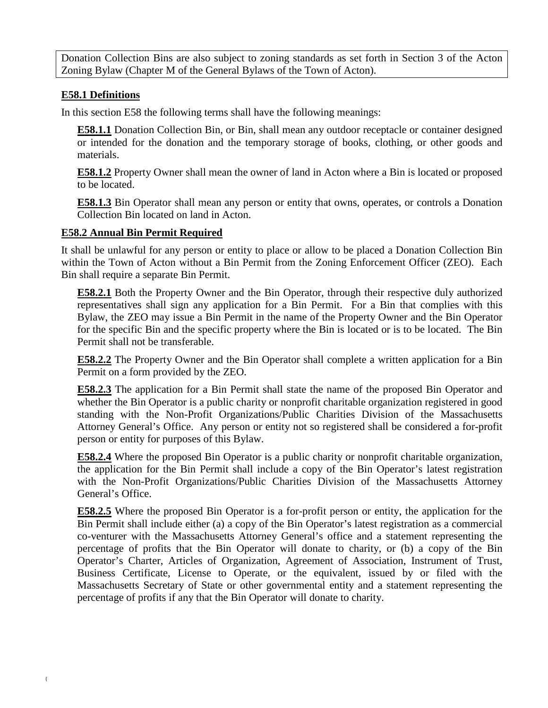Donation Collection Bins are also subject to zoning standards as set forth in Section 3 of the Acton Zoning Bylaw (Chapter M of the General Bylaws of the Town of Acton).

## **E58.1 Definitions**

In this section E58 the following terms shall have the following meanings:

**E58.1.1** Donation Collection Bin, or Bin, shall mean any outdoor receptacle or container designed or intended for the donation and the temporary storage of books, clothing, or other goods and materials.

**E58.1.2** Property Owner shall mean the owner of land in Acton where a Bin is located or proposed to be located.

**E58.1.3** Bin Operator shall mean any person or entity that owns, operates, or controls a Donation Collection Bin located on land in Acton.

### **E58.2 Annual Bin Permit Required**

It shall be unlawful for any person or entity to place or allow to be placed a Donation Collection Bin within the Town of Acton without a Bin Permit from the Zoning Enforcement Officer (ZEO). Each Bin shall require a separate Bin Permit.

**E58.2.1** Both the Property Owner and the Bin Operator, through their respective duly authorized representatives shall sign any application for a Bin Permit. For a Bin that complies with this Bylaw, the ZEO may issue a Bin Permit in the name of the Property Owner and the Bin Operator for the specific Bin and the specific property where the Bin is located or is to be located. The Bin Permit shall not be transferable.

**E58.2.2** The Property Owner and the Bin Operator shall complete a written application for a Bin Permit on a form provided by the ZEO.

**E58.2.3** The application for a Bin Permit shall state the name of the proposed Bin Operator and whether the Bin Operator is a public charity or nonprofit charitable organization registered in good standing with the Non-Profit Organizations/Public Charities Division of the Massachusetts Attorney General's Office. Any person or entity not so registered shall be considered a for-profit person or entity for purposes of this Bylaw.

**E58.2.4** Where the proposed Bin Operator is a public charity or nonprofit charitable organization, the application for the Bin Permit shall include a copy of the Bin Operator's latest registration with the Non-Profit Organizations/Public Charities Division of the Massachusetts Attorney General's Office.

**E58.2.5** Where the proposed Bin Operator is a for-profit person or entity, the application for the Bin Permit shall include either (a) a copy of the Bin Operator's latest registration as a commercial co-venturer with the Massachusetts Attorney General's office and a statement representing the percentage of profits that the Bin Operator will donate to charity, or (b) a copy of the Bin Operator's Charter, Articles of Organization, Agreement of Association, Instrument of Trust, Business Certificate, License to Operate, or the equivalent, issued by or filed with the Massachusetts Secretary of State or other governmental entity and a statement representing the percentage of profits if any that the Bin Operator will donate to charity.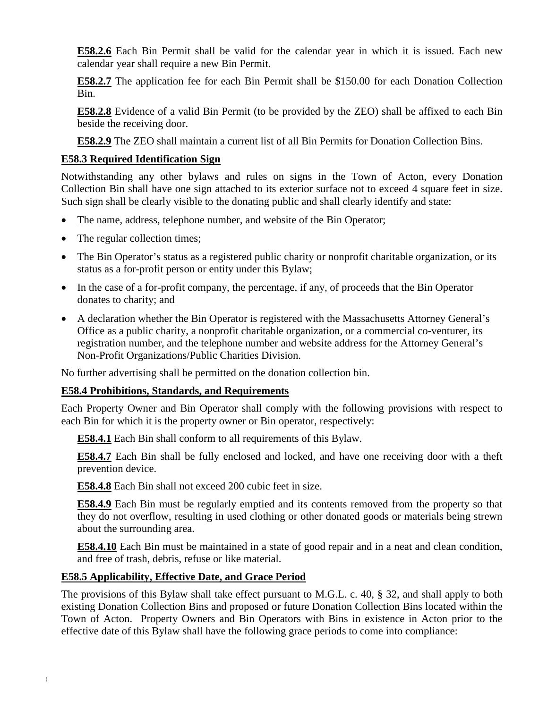**E58.2.6** Each Bin Permit shall be valid for the calendar year in which it is issued. Each new calendar year shall require a new Bin Permit.

**E58.2.7** The application fee for each Bin Permit shall be \$150.00 for each Donation Collection Bin.

**E58.2.8** Evidence of a valid Bin Permit (to be provided by the ZEO) shall be affixed to each Bin beside the receiving door.

**E58.2.9** The ZEO shall maintain a current list of all Bin Permits for Donation Collection Bins.

## **E58.3 Required Identification Sign**

Notwithstanding any other bylaws and rules on signs in the Town of Acton, every Donation Collection Bin shall have one sign attached to its exterior surface not to exceed 4 square feet in size. Such sign shall be clearly visible to the donating public and shall clearly identify and state:

- The name, address, telephone number, and website of the Bin Operator;
- The regular collection times;
- The Bin Operator's status as a registered public charity or nonprofit charitable organization, or its status as a for-profit person or entity under this Bylaw;
- In the case of a for-profit company, the percentage, if any, of proceeds that the Bin Operator donates to charity; and
- A declaration whether the Bin Operator is registered with the Massachusetts Attorney General's Office as a public charity, a nonprofit charitable organization, or a commercial co-venturer, its registration number, and the telephone number and website address for the Attorney General's Non-Profit Organizations/Public Charities Division.

No further advertising shall be permitted on the donation collection bin.

#### **E58.4 Prohibitions, Standards, and Requirements**

Each Property Owner and Bin Operator shall comply with the following provisions with respect to each Bin for which it is the property owner or Bin operator, respectively:

**E58.4.1** Each Bin shall conform to all requirements of this Bylaw.

**E58.4.7** Each Bin shall be fully enclosed and locked, and have one receiving door with a theft prevention device.

**E58.4.8** Each Bin shall not exceed 200 cubic feet in size.

**E58.4.9** Each Bin must be regularly emptied and its contents removed from the property so that they do not overflow, resulting in used clothing or other donated goods or materials being strewn about the surrounding area.

**E58.4.10** Each Bin must be maintained in a state of good repair and in a neat and clean condition, and free of trash, debris, refuse or like material.

#### **E58.5 Applicability, Effective Date, and Grace Period**

The provisions of this Bylaw shall take effect pursuant to M.G.L. c. 40, § 32, and shall apply to both existing Donation Collection Bins and proposed or future Donation Collection Bins located within the Town of Acton. Property Owners and Bin Operators with Bins in existence in Acton prior to the effective date of this Bylaw shall have the following grace periods to come into compliance: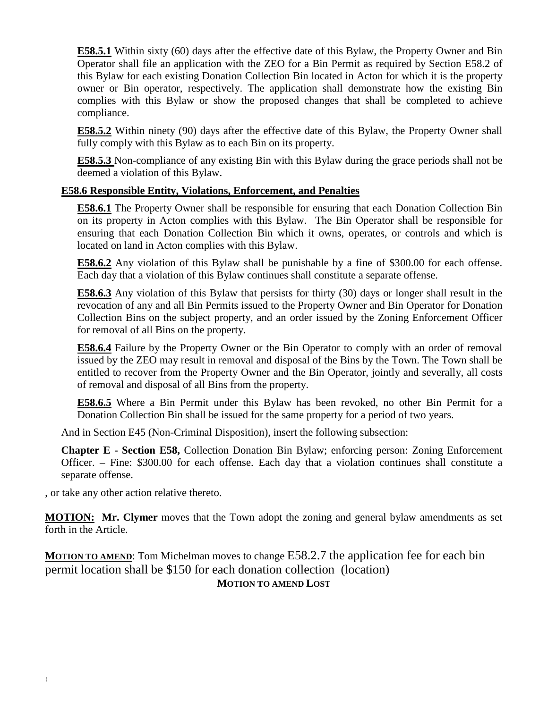**E58.5.1** Within sixty (60) days after the effective date of this Bylaw, the Property Owner and Bin Operator shall file an application with the ZEO for a Bin Permit as required by Section E58.2 of this Bylaw for each existing Donation Collection Bin located in Acton for which it is the property owner or Bin operator, respectively. The application shall demonstrate how the existing Bin complies with this Bylaw or show the proposed changes that shall be completed to achieve compliance.

**E58.5.2** Within ninety (90) days after the effective date of this Bylaw, the Property Owner shall fully comply with this Bylaw as to each Bin on its property.

**E58.5.3** Non-compliance of any existing Bin with this Bylaw during the grace periods shall not be deemed a violation of this Bylaw.

#### **E58.6 Responsible Entity, Violations, Enforcement, and Penalties**

**E58.6.1** The Property Owner shall be responsible for ensuring that each Donation Collection Bin on its property in Acton complies with this Bylaw. The Bin Operator shall be responsible for ensuring that each Donation Collection Bin which it owns, operates, or controls and which is located on land in Acton complies with this Bylaw.

**E58.6.2** Any violation of this Bylaw shall be punishable by a fine of \$300.00 for each offense. Each day that a violation of this Bylaw continues shall constitute a separate offense.

**E58.6.3** Any violation of this Bylaw that persists for thirty (30) days or longer shall result in the revocation of any and all Bin Permits issued to the Property Owner and Bin Operator for Donation Collection Bins on the subject property, and an order issued by the Zoning Enforcement Officer for removal of all Bins on the property.

**E58.6.4** Failure by the Property Owner or the Bin Operator to comply with an order of removal issued by the ZEO may result in removal and disposal of the Bins by the Town. The Town shall be entitled to recover from the Property Owner and the Bin Operator, jointly and severally, all costs of removal and disposal of all Bins from the property.

**E58.6.5** Where a Bin Permit under this Bylaw has been revoked, no other Bin Permit for a Donation Collection Bin shall be issued for the same property for a period of two years.

And in Section E45 (Non-Criminal Disposition), insert the following subsection:

**Chapter E - Section E58,** Collection Donation Bin Bylaw; enforcing person: Zoning Enforcement Officer. – Fine: \$300.00 for each offense. Each day that a violation continues shall constitute a separate offense.

, or take any other action relative thereto.

**MOTION: Mr. Clymer** moves that the Town adopt the zoning and general bylaw amendments as set forth in the Article.

**MOTION TO AMEND:** Tom Michelman moves to change E58.2.7 the application fee for each bin permit location shall be \$150 for each donation collection (location) **MOTION TO AMEND LOST**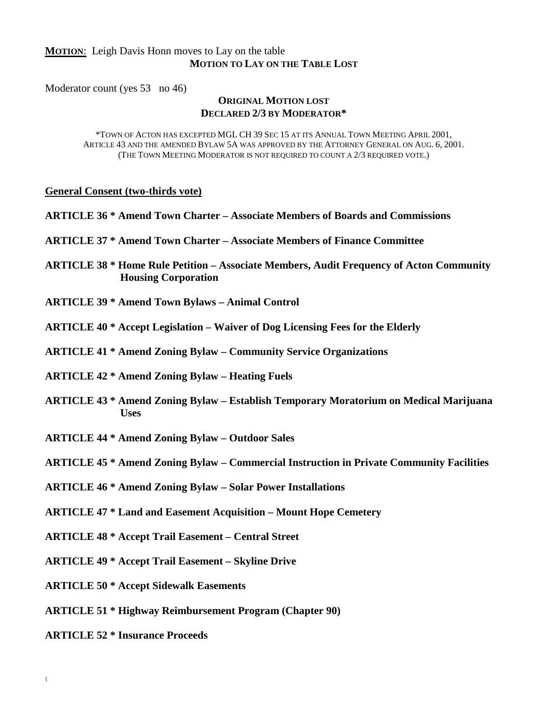### **MOTION**: Leigh Davis Honn moves to Lay on the table **MOTION TO LAY ON THE TABLE LOST**

Moderator count (yes 53 no 46)

#### **ORIGINAL MOTION LOST DECLARED 2/3 BY MODERATOR\***

\*TOWN OF ACTON HAS EXCEPTED MGL CH 39 SEC 15 AT ITS ANNUAL TOWN MEETING APRIL 2001, ARTICLE 43 AND THE AMENDED BYLAW 5A WAS APPROVED BY THE ATTORNEY GENERAL ON AUG. 6, 2001. (THE TOWN MEETING MODERATOR IS NOT REQUIRED TO COUNT A 2/3 REQUIRED VOTE.)

#### **General Consent (two-thirds vote)**

| <b>ARTICLE 36 * Amend Town Charter - Associate Members of Boards and Commissions</b> |  |
|--------------------------------------------------------------------------------------|--|
|--------------------------------------------------------------------------------------|--|

**ARTICLE 37 \* Amend Town Charter – Associate Members of Finance Committee**

**ARTICLE 38 \* Home Rule Petition – Associate Members, Audit Frequency of Acton Community Housing Corporation**

**ARTICLE 39 \* Amend Town Bylaws – Animal Control**

**ARTICLE 40 \* Accept Legislation – Waiver of Dog Licensing Fees for the Elderly**

**ARTICLE 41 \* Amend Zoning Bylaw – Community Service Organizations**

**ARTICLE 42 \* Amend Zoning Bylaw – Heating Fuels**

**ARTICLE 43 \* Amend Zoning Bylaw – Establish Temporary Moratorium on Medical Marijuana Uses**

**ARTICLE 44 \* Amend Zoning Bylaw – Outdoor Sales**

**ARTICLE 45 \* Amend Zoning Bylaw – Commercial Instruction in Private Community Facilities**

**ARTICLE 46 \* Amend Zoning Bylaw – Solar Power Installations**

**ARTICLE 47 \* Land and Easement Acquisition – Mount Hope Cemetery**

**ARTICLE 48 \* Accept Trail Easement – Central Street**

**ARTICLE 49 \* Accept Trail Easement – Skyline Drive**

**ARTICLE 50 \* Accept Sidewalk Easements**

**ARTICLE 51 \* Highway Reimbursement Program (Chapter 90)**

**ARTICLE 52 \* Insurance Proceeds**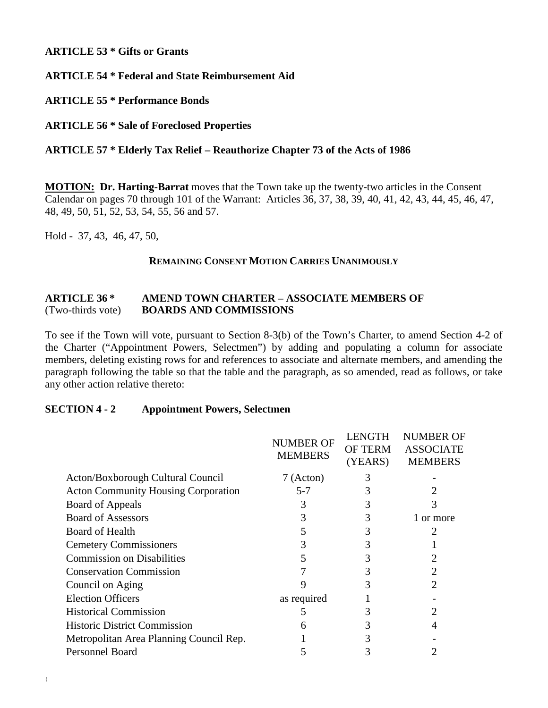### **ARTICLE 53 \* Gifts or Grants**

**ARTICLE 54 \* Federal and State Reimbursement Aid**

**ARTICLE 55 \* Performance Bonds**

**ARTICLE 56 \* Sale of Foreclosed Properties**

## **ARTICLE 57 \* Elderly Tax Relief – Reauthorize Chapter 73 of the Acts of 1986**

**MOTION: Dr. Harting-Barrat** moves that the Town take up the twenty-two articles in the Consent Calendar on pages 70 through 101 of the Warrant: Articles 36, 37, 38, 39, 40, 41, 42, 43, 44, 45, 46, 47, 48, 49, 50, 51, 52, 53, 54, 55, 56 and 57.

Hold - 37, 43, 46, 47, 50,

#### **REMAINING CONSENT MOTION CARRIES UNANIMOUSLY**

### **ARTICLE 36 \* AMEND TOWN CHARTER – ASSOCIATE MEMBERS OF**  (Two-thirds vote) **BOARDS AND COMMISSIONS**

To see if the Town will vote, pursuant to Section 8-3(b) of the Town's Charter, to amend Section 4-2 of the Charter ("Appointment Powers, Selectmen") by adding and populating a column for associate members, deleting existing rows for and references to associate and alternate members, and amending the paragraph following the table so that the table and the paragraph, as so amended, read as follows, or take any other action relative thereto:

#### **SECTION 4 - 2 Appointment Powers, Selectmen**

|                                            | <b>NUMBER OF</b><br><b>MEMBERS</b> | <b>LENGTH</b><br><b>OF TERM</b><br>(YEARS) | <b>NUMBER OF</b><br><b>ASSOCIATE</b><br><b>MEMBERS</b> |
|--------------------------------------------|------------------------------------|--------------------------------------------|--------------------------------------------------------|
| Acton/Boxborough Cultural Council          | 7 (Acton)                          |                                            |                                                        |
| <b>Acton Community Housing Corporation</b> | $5 - 7$                            | 3                                          |                                                        |
| Board of Appeals                           |                                    |                                            |                                                        |
| <b>Board of Assessors</b>                  |                                    |                                            | 1 or more                                              |
| <b>Board of Health</b>                     |                                    |                                            |                                                        |
| <b>Cemetery Commissioners</b>              | 3                                  |                                            |                                                        |
| <b>Commission on Disabilities</b>          |                                    |                                            |                                                        |
| <b>Conservation Commission</b>             |                                    |                                            |                                                        |
| Council on Aging                           |                                    |                                            | $\overline{2}$                                         |
| <b>Election Officers</b>                   | as required                        |                                            |                                                        |
| <b>Historical Commission</b>               |                                    |                                            |                                                        |
| <b>Historic District Commission</b>        | 6                                  |                                            | 4                                                      |
| Metropolitan Area Planning Council Rep.    |                                    |                                            |                                                        |
| Personnel Board                            |                                    |                                            |                                                        |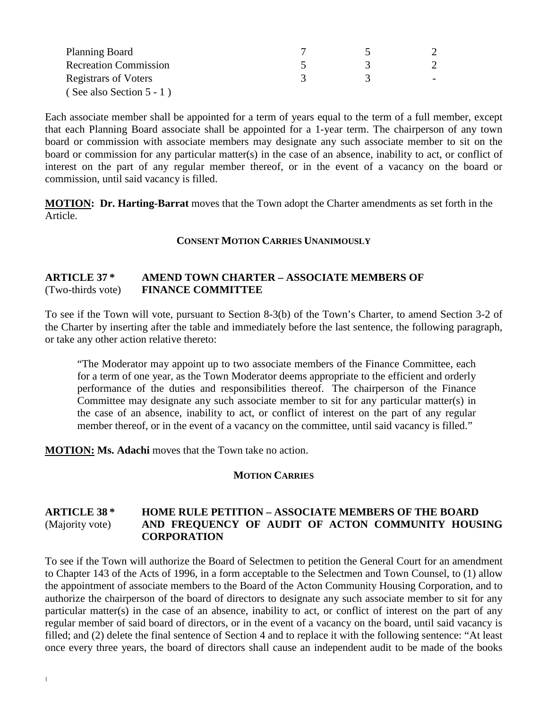| Planning Board               |  |  |
|------------------------------|--|--|
| <b>Recreation Commission</b> |  |  |
| <b>Registrars of Voters</b>  |  |  |
| (See also Section $5 - 1$ )  |  |  |

Each associate member shall be appointed for a term of years equal to the term of a full member, except that each Planning Board associate shall be appointed for a 1-year term. The chairperson of any town board or commission with associate members may designate any such associate member to sit on the board or commission for any particular matter(s) in the case of an absence, inability to act, or conflict of interest on the part of any regular member thereof, or in the event of a vacancy on the board or commission, until said vacancy is filled.

**MOTION: Dr. Harting-Barrat** moves that the Town adopt the Charter amendments as set forth in the Article.

#### **CONSENT MOTION CARRIES UNANIMOUSLY**

#### **ARTICLE 37 \* AMEND TOWN CHARTER – ASSOCIATE MEMBERS OF**  (Two-thirds vote) **FINANCE COMMITTEE**

To see if the Town will vote, pursuant to Section 8-3(b) of the Town's Charter, to amend Section 3-2 of the Charter by inserting after the table and immediately before the last sentence, the following paragraph, or take any other action relative thereto:

"The Moderator may appoint up to two associate members of the Finance Committee, each for a term of one year, as the Town Moderator deems appropriate to the efficient and orderly performance of the duties and responsibilities thereof. The chairperson of the Finance Committee may designate any such associate member to sit for any particular matter(s) in the case of an absence, inability to act, or conflict of interest on the part of any regular member thereof, or in the event of a vacancy on the committee, until said vacancy is filled."

**MOTION: Ms. Adachi** moves that the Town take no action.

#### **MOTION CARRIES**

#### **ARTICLE 38 \* HOME RULE PETITION – ASSOCIATE MEMBERS OF THE BOARD** (Majority vote) **AND FREQUENCY OF AUDIT OF ACTON COMMUNITY HOUSING CORPORATION**

To see if the Town will authorize the Board of Selectmen to petition the General Court for an amendment to Chapter 143 of the Acts of 1996, in a form acceptable to the Selectmen and Town Counsel, to (1) allow the appointment of associate members to the Board of the Acton Community Housing Corporation, and to authorize the chairperson of the board of directors to designate any such associate member to sit for any particular matter(s) in the case of an absence, inability to act, or conflict of interest on the part of any regular member of said board of directors, or in the event of a vacancy on the board, until said vacancy is filled; and (2) delete the final sentence of Section 4 and to replace it with the following sentence: "At least once every three years, the board of directors shall cause an independent audit to be made of the books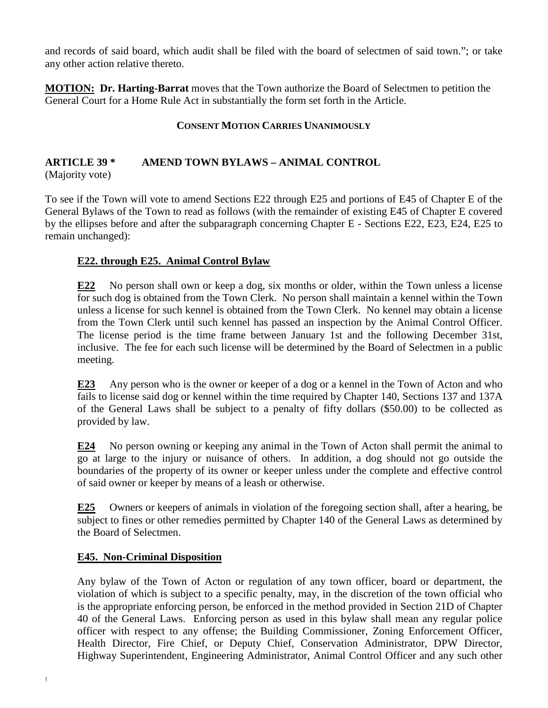and records of said board, which audit shall be filed with the board of selectmen of said town."; or take any other action relative thereto.

**MOTION: Dr. Harting-Barrat** moves that the Town authorize the Board of Selectmen to petition the General Court for a Home Rule Act in substantially the form set forth in the Article.

## **CONSENT MOTION CARRIES UNANIMOUSLY**

# **ARTICLE 39 \* AMEND TOWN BYLAWS – ANIMAL CONTROL**

(Majority vote)

To see if the Town will vote to amend Sections E22 through E25 and portions of E45 of Chapter E of the General Bylaws of the Town to read as follows (with the remainder of existing E45 of Chapter E covered by the ellipses before and after the subparagraph concerning Chapter E - Sections E22, E23, E24, E25 to remain unchanged):

## **E22. through E25. Animal Control Bylaw**

**E22** No person shall own or keep a dog, six months or older, within the Town unless a license for such dog is obtained from the Town Clerk. No person shall maintain a kennel within the Town unless a license for such kennel is obtained from the Town Clerk. No kennel may obtain a license from the Town Clerk until such kennel has passed an inspection by the Animal Control Officer. The license period is the time frame between January 1st and the following December 31st, inclusive. The fee for each such license will be determined by the Board of Selectmen in a public meeting.

**E23** Any person who is the owner or keeper of a dog or a kennel in the Town of Acton and who fails to license said dog or kennel within the time required by Chapter 140, Sections 137 and 137A of the General Laws shall be subject to a penalty of fifty dollars (\$50.00) to be collected as provided by law.

**E24** No person owning or keeping any animal in the Town of Acton shall permit the animal to go at large to the injury or nuisance of others. In addition, a dog should not go outside the boundaries of the property of its owner or keeper unless under the complete and effective control of said owner or keeper by means of a leash or otherwise.

**E25** Owners or keepers of animals in violation of the foregoing section shall, after a hearing, be subject to fines or other remedies permitted by Chapter 140 of the General Laws as determined by the Board of Selectmen.

## **E45. Non-Criminal Disposition**

Any bylaw of the Town of Acton or regulation of any town officer, board or department, the violation of which is subject to a specific penalty, may, in the discretion of the town official who is the appropriate enforcing person, be enforced in the method provided in Section 21D of Chapter 40 of the General Laws. Enforcing person as used in this bylaw shall mean any regular police officer with respect to any offense; the Building Commissioner, Zoning Enforcement Officer, Health Director, Fire Chief, or Deputy Chief, Conservation Administrator, DPW Director, Highway Superintendent, Engineering Administrator, Animal Control Officer and any such other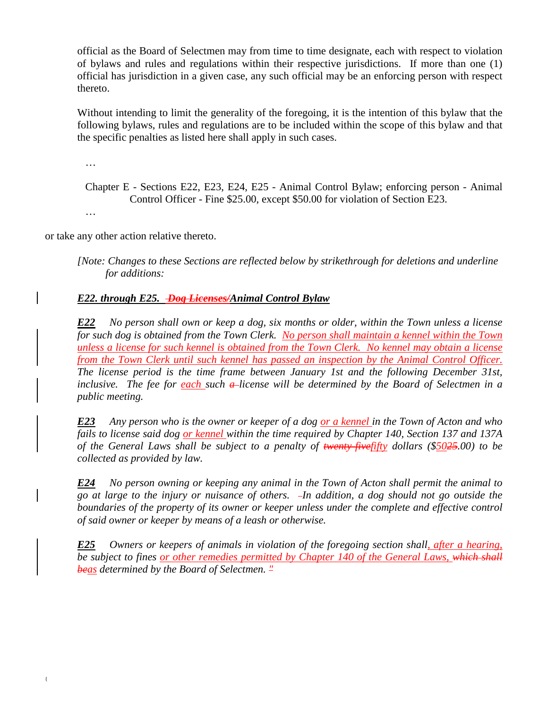official as the Board of Selectmen may from time to time designate, each with respect to violation of bylaws and rules and regulations within their respective jurisdictions. If more than one (1) official has jurisdiction in a given case, any such official may be an enforcing person with respect thereto.

Without intending to limit the generality of the foregoing, it is the intention of this bylaw that the following bylaws, rules and regulations are to be included within the scope of this bylaw and that the specific penalties as listed here shall apply in such cases.

…

…

Chapter E - Sections E22, E23, E24, E25 - Animal Control Bylaw; enforcing person - Animal Control Officer - Fine \$25.00, except \$50.00 for violation of Section E23.

or take any other action relative thereto.

*[Note: Changes to these Sections are reflected below by strikethrough for deletions and underline for additions:*

### *E22. through E25. Dog Licenses/Animal Control Bylaw*

*E22 No person shall own or keep a dog, six months or older, within the Town unless a license for such dog is obtained from the Town Clerk. No person shall maintain a kennel within the Town unless a license for such kennel is obtained from the Town Clerk. No kennel may obtain a license from the Town Clerk until such kennel has passed an inspection by the Animal Control Officer. The license period is the time frame between January 1st and the following December 31st, inclusive. The fee for each such a*-license will be determined by the Board of Selectmen in a *public meeting.* 

*E23 Any person who is the owner or keeper of a dog or a kennel in the Town of Acton and who fails to license said dog or kennel within the time required by Chapter 140, Section 137 and 137A of the General Laws shall be subject to a penalty of twenty-fivefifty dollars (\$5025.00) to be collected as provided by law.*

*E24 No person owning or keeping any animal in the Town of Acton shall permit the animal to go at large to the injury or nuisance of others. In addition, a dog should not go outside the boundaries of the property of its owner or keeper unless under the complete and effective control of said owner or keeper by means of a leash or otherwise.*

*E25 Owners or keepers of animals in violation of the foregoing section shall, after a hearing, be subject to fines or other remedies permitted by Chapter 140 of the General Laws, which shall beas determined by the Board of Selectmen. "*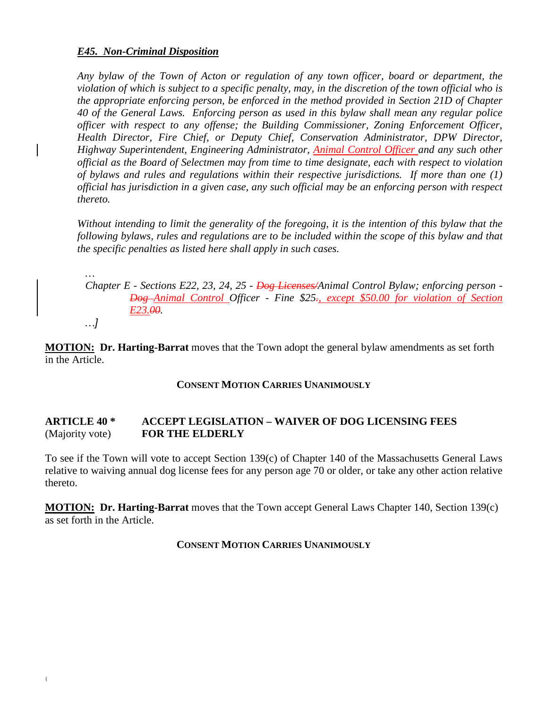### *E45. Non-Criminal Disposition*

*Any bylaw of the Town of Acton or regulation of any town officer, board or department, the violation of which is subject to a specific penalty, may, in the discretion of the town official who is the appropriate enforcing person, be enforced in the method provided in Section 21D of Chapter 40 of the General Laws. Enforcing person as used in this bylaw shall mean any regular police officer with respect to any offense; the Building Commissioner, Zoning Enforcement Officer, Health Director, Fire Chief, or Deputy Chief, Conservation Administrator, DPW Director, Highway Superintendent, Engineering Administrator, Animal Control Officer and any such other official as the Board of Selectmen may from time to time designate, each with respect to violation of bylaws and rules and regulations within their respective jurisdictions. If more than one (1) official has jurisdiction in a given case, any such official may be an enforcing person with respect thereto.*

*Without intending to limit the generality of the foregoing, it is the intention of this bylaw that the following bylaws, rules and regulations are to be included within the scope of this bylaw and that the specific penalties as listed here shall apply in such cases.*

*… Chapter E - Sections E22, 23, 24, 25 - Dog Licenses/Animal Control Bylaw; enforcing person - Dog Animal Control Officer - Fine \$25., except \$50.00 for violation of Section E23.00.*

*…]*

**MOTION: Dr. Harting-Barrat** moves that the Town adopt the general bylaw amendments as set forth in the Article.

#### **CONSENT MOTION CARRIES UNANIMOUSLY**

### **ARTICLE 40 \* ACCEPT LEGISLATION – WAIVER OF DOG LICENSING FEES** (Majority vote) **FOR THE ELDERLY**

To see if the Town will vote to accept Section 139(c) of Chapter 140 of the Massachusetts General Laws relative to waiving annual dog license fees for any person age 70 or older, or take any other action relative thereto.

**MOTION: Dr. Harting-Barrat** moves that the Town accept General Laws Chapter 140, Section 139(c) as set forth in the Article.

#### **CONSENT MOTION CARRIES UNANIMOUSLY**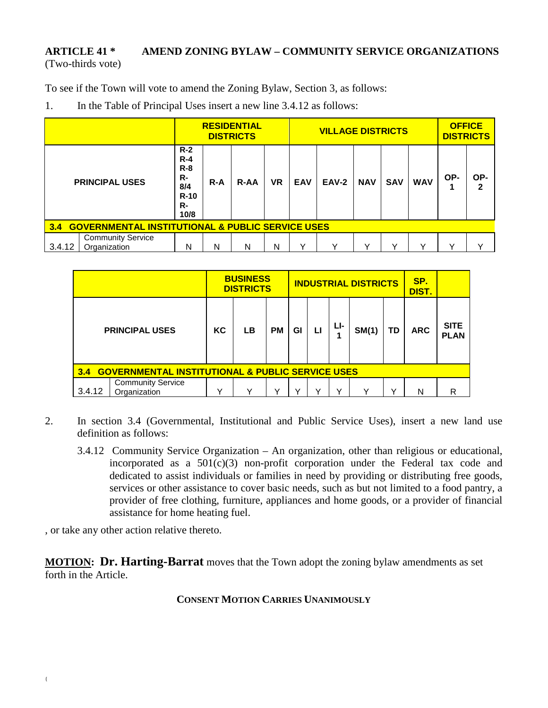## **ARTICLE 41 \* AMEND ZONING BYLAW – COMMUNITY SERVICE ORGANIZATIONS** (Two-thirds vote)

To see if the Town will vote to amend the Zoning Bylaw, Section 3, as follows:

1. In the Table of Principal Uses insert a new line 3.4.12 as follows:

|                                                                    |                                          |                                                                  |         | <b>RESIDENTIAL</b><br><b>DISTRICTS</b> |           | <b>VILLAGE DISTRICTS</b> |       |            |            |            | <b>OFFICE</b><br><b>DISTRICTS</b> |          |
|--------------------------------------------------------------------|------------------------------------------|------------------------------------------------------------------|---------|----------------------------------------|-----------|--------------------------|-------|------------|------------|------------|-----------------------------------|----------|
|                                                                    | <b>PRINCIPAL USES</b>                    | $R-2$<br>$R - 4$<br>$R - 8$<br>R-<br>8/4<br>$R-10$<br>R-<br>10/8 | $R - A$ | <b>R-AA</b>                            | <b>VR</b> | <b>EAV</b>               | EAV-2 | <b>NAV</b> | <b>SAV</b> | <b>WAV</b> | OP-                               | OP-<br>2 |
| <b>GOVERNMENTAL INSTITUTIONAL &amp; PUBLIC SERVICE USES</b><br>3.4 |                                          |                                                                  |         |                                        |           |                          |       |            |            |            |                                   |          |
| 3.4.12                                                             | <b>Community Service</b><br>Organization | N                                                                | N       | N                                      | N         | $\checkmark$             |       | v          | ν          | ν          |                                   |          |

|                                                                    |                                          | <b>BUSINESS</b><br><b>DISTRICTS</b> |              |              |              | <b>INDUSTRIAL DISTRICTS</b> |     | SP.<br>DIST. |    |            |                            |
|--------------------------------------------------------------------|------------------------------------------|-------------------------------------|--------------|--------------|--------------|-----------------------------|-----|--------------|----|------------|----------------------------|
| <b>PRINCIPAL USES</b>                                              |                                          | KC                                  | LB           | <b>PM</b>    | Gl           | п                           | Lŀ- | SM(1)        | TD | <b>ARC</b> | <b>SITE</b><br><b>PLAN</b> |
| <b>GOVERNMENTAL INSTITUTIONAL &amp; PUBLIC SERVICE USES</b><br>3.4 |                                          |                                     |              |              |              |                             |     |              |    |            |                            |
| 3.4.12                                                             | <b>Community Service</b><br>Organization | $\checkmark$                        | $\checkmark$ | $\checkmark$ | $\checkmark$ | v                           | v   | ν            | v  | N          | R                          |

- 2. In section 3.4 (Governmental, Institutional and Public Service Uses), insert a new land use definition as follows:
	- 3.4.12 Community Service Organization An organization, other than religious or educational, incorporated as a  $501(c)(3)$  non-profit corporation under the Federal tax code and dedicated to assist individuals or families in need by providing or distributing free goods, services or other assistance to cover basic needs, such as but not limited to a food pantry, a provider of free clothing, furniture, appliances and home goods, or a provider of financial assistance for home heating fuel.

, or take any other action relative thereto.

**MOTION: Dr. Harting-Barrat** moves that the Town adopt the zoning bylaw amendments as set forth in the Article.

**CONSENT MOTION CARRIES UNANIMOUSLY**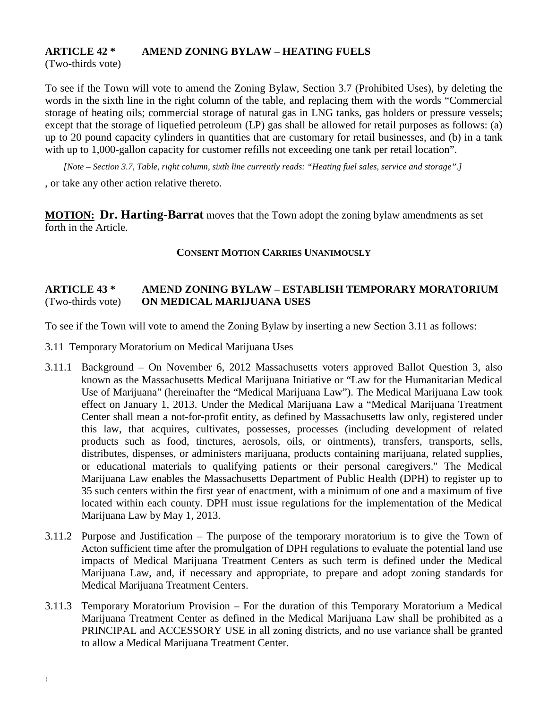## **ARTICLE 42 \* AMEND ZONING BYLAW – HEATING FUELS**

(Two-thirds vote)

To see if the Town will vote to amend the Zoning Bylaw, Section 3.7 (Prohibited Uses), by deleting the words in the sixth line in the right column of the table, and replacing them with the words "Commercial storage of heating oils; commercial storage of natural gas in LNG tanks, gas holders or pressure vessels; except that the storage of liquefied petroleum (LP) gas shall be allowed for retail purposes as follows: (a) up to 20 pound capacity cylinders in quantities that are customary for retail businesses, and (b) in a tank with up to 1,000-gallon capacity for customer refills not exceeding one tank per retail location".

*[Note – Section 3.7, Table, right column, sixth line currently reads: "Heating fuel sales, service and storage".]*

, or take any other action relative thereto.

**MOTION: Dr. Harting-Barrat** moves that the Town adopt the zoning bylaw amendments as set forth in the Article.

## **CONSENT MOTION CARRIES UNANIMOUSLY**

## **ARTICLE 43 \* AMEND ZONING BYLAW – ESTABLISH TEMPORARY MORATORIUM** (Two-thirds vote) **ON MEDICAL MARIJUANA USES**

To see if the Town will vote to amend the Zoning Bylaw by inserting a new Section 3.11 as follows:

- 3.11 Temporary Moratorium on Medical Marijuana Uses
- 3.11.1 Background On November 6, 2012 Massachusetts voters approved Ballot Question 3, also known as the Massachusetts Medical Marijuana Initiative or "Law for the Humanitarian Medical Use of Marijuana" (hereinafter the "Medical Marijuana Law"). The Medical Marijuana Law took effect on January 1, 2013. Under the Medical Marijuana Law a "Medical Marijuana Treatment Center shall mean a not-for-profit entity, as defined by Massachusetts law only, registered under this law, that acquires, cultivates, possesses, processes (including development of related products such as food, tinctures, aerosols, oils, or ointments), transfers, transports, sells, distributes, dispenses, or administers marijuana, products containing marijuana, related supplies, or educational materials to qualifying patients or their personal caregivers." The Medical Marijuana Law enables the Massachusetts Department of Public Health (DPH) to register up to 35 such centers within the first year of enactment, with a minimum of one and a maximum of five located within each county. DPH must issue regulations for the implementation of the Medical Marijuana Law by May 1, 2013.
- 3.11.2 Purpose and Justification The purpose of the temporary moratorium is to give the Town of Acton sufficient time after the promulgation of DPH regulations to evaluate the potential land use impacts of Medical Marijuana Treatment Centers as such term is defined under the Medical Marijuana Law, and, if necessary and appropriate, to prepare and adopt zoning standards for Medical Marijuana Treatment Centers.
- 3.11.3 Temporary Moratorium Provision For the duration of this Temporary Moratorium a Medical Marijuana Treatment Center as defined in the Medical Marijuana Law shall be prohibited as a PRINCIPAL and ACCESSORY USE in all zoning districts, and no use variance shall be granted to allow a Medical Marijuana Treatment Center.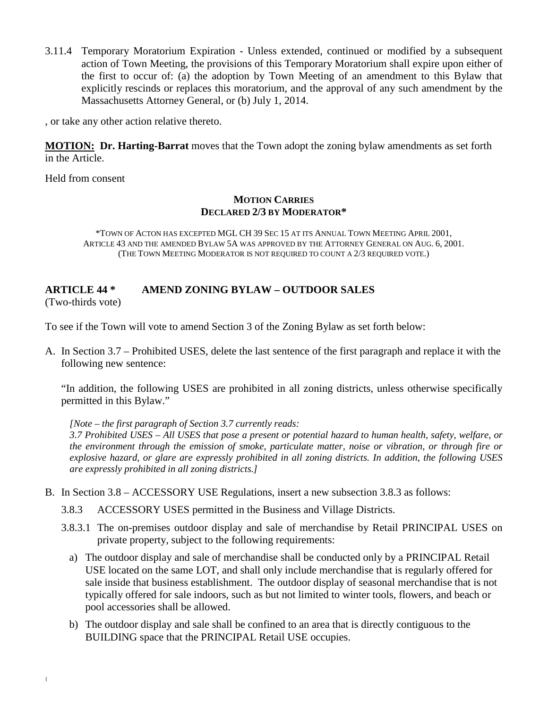3.11.4 Temporary Moratorium Expiration - Unless extended, continued or modified by a subsequent action of Town Meeting, the provisions of this Temporary Moratorium shall expire upon either of the first to occur of: (a) the adoption by Town Meeting of an amendment to this Bylaw that explicitly rescinds or replaces this moratorium, and the approval of any such amendment by the Massachusetts Attorney General, or (b) July 1, 2014.

, or take any other action relative thereto.

**MOTION: Dr. Harting-Barrat** moves that the Town adopt the zoning bylaw amendments as set forth in the Article.

Held from consent

#### **MOTION CARRIES DECLARED 2/3 BY MODERATOR\***

\*TOWN OF ACTON HAS EXCEPTED MGL CH 39 SEC 15 AT ITS ANNUAL TOWN MEETING APRIL 2001, ARTICLE 43 AND THE AMENDED BYLAW 5A WAS APPROVED BY THE ATTORNEY GENERAL ON AUG. 6, 2001. (THE TOWN MEETING MODERATOR IS NOT REQUIRED TO COUNT A 2/3 REQUIRED VOTE.)

## **ARTICLE 44 \* AMEND ZONING BYLAW – OUTDOOR SALES**

(Two-thirds vote)

To see if the Town will vote to amend Section 3 of the Zoning Bylaw as set forth below:

A. In Section 3.7 – Prohibited USES, delete the last sentence of the first paragraph and replace it with the following new sentence:

"In addition, the following USES are prohibited in all zoning districts, unless otherwise specifically permitted in this Bylaw."

*[Note – the first paragraph of Section 3.7 currently reads: 3.7 Prohibited USES – All USES that pose a present or potential hazard to human health, safety, welfare, or the environment through the emission of smoke, particulate matter, noise or vibration, or through fire or explosive hazard, or glare are expressly prohibited in all zoning districts. In addition, the following USES are expressly prohibited in all zoning districts.]*

B. In Section 3.8 – ACCESSORY USE Regulations, insert a new subsection 3.8.3 as follows:

3.8.3 ACCESSORY USES permitted in the Business and Village Districts.

- 3.8.3.1 The on-premises outdoor display and sale of merchandise by Retail PRINCIPAL USES on private property, subject to the following requirements:
	- a) The outdoor display and sale of merchandise shall be conducted only by a PRINCIPAL Retail USE located on the same LOT, and shall only include merchandise that is regularly offered for sale inside that business establishment. The outdoor display of seasonal merchandise that is not typically offered for sale indoors, such as but not limited to winter tools, flowers, and beach or pool accessories shall be allowed.
	- b) The outdoor display and sale shall be confined to an area that is directly contiguous to the BUILDING space that the PRINCIPAL Retail USE occupies.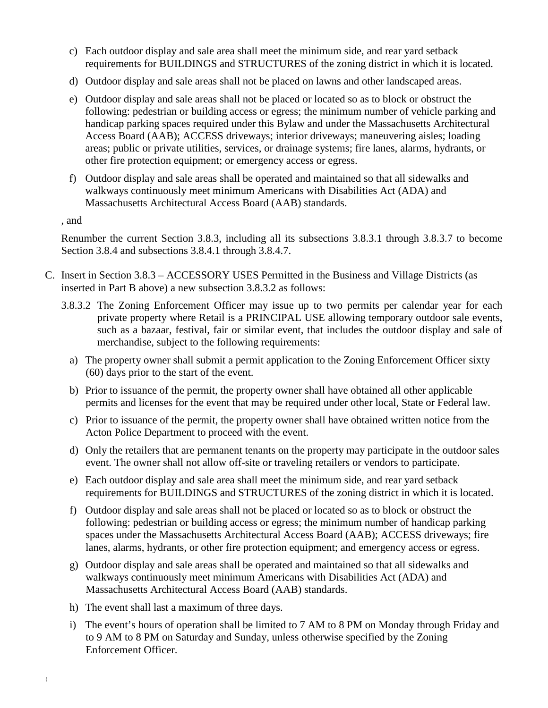- c) Each outdoor display and sale area shall meet the minimum side, and rear yard setback requirements for BUILDINGS and STRUCTURES of the zoning district in which it is located.
- d) Outdoor display and sale areas shall not be placed on lawns and other landscaped areas.
- e) Outdoor display and sale areas shall not be placed or located so as to block or obstruct the following: pedestrian or building access or egress; the minimum number of vehicle parking and handicap parking spaces required under this Bylaw and under the Massachusetts Architectural Access Board (AAB); ACCESS driveways; interior driveways; maneuvering aisles; loading areas; public or private utilities, services, or drainage systems; fire lanes, alarms, hydrants, or other fire protection equipment; or emergency access or egress.
- f) Outdoor display and sale areas shall be operated and maintained so that all sidewalks and walkways continuously meet minimum Americans with Disabilities Act (ADA) and Massachusetts Architectural Access Board (AAB) standards.

, and

{

Renumber the current Section 3.8.3, including all its subsections 3.8.3.1 through 3.8.3.7 to become Section 3.8.4 and subsections 3.8.4.1 through 3.8.4.7.

- C. Insert in Section 3.8.3 ACCESSORY USES Permitted in the Business and Village Districts (as inserted in Part B above) a new subsection 3.8.3.2 as follows:
	- 3.8.3.2 The Zoning Enforcement Officer may issue up to two permits per calendar year for each private property where Retail is a PRINCIPAL USE allowing temporary outdoor sale events, such as a bazaar, festival, fair or similar event, that includes the outdoor display and sale of merchandise, subject to the following requirements:
		- a) The property owner shall submit a permit application to the Zoning Enforcement Officer sixty (60) days prior to the start of the event.
		- b) Prior to issuance of the permit, the property owner shall have obtained all other applicable permits and licenses for the event that may be required under other local, State or Federal law.
		- c) Prior to issuance of the permit, the property owner shall have obtained written notice from the Acton Police Department to proceed with the event.
		- d) Only the retailers that are permanent tenants on the property may participate in the outdoor sales event. The owner shall not allow off-site or traveling retailers or vendors to participate.
		- e) Each outdoor display and sale area shall meet the minimum side, and rear yard setback requirements for BUILDINGS and STRUCTURES of the zoning district in which it is located.
		- f) Outdoor display and sale areas shall not be placed or located so as to block or obstruct the following: pedestrian or building access or egress; the minimum number of handicap parking spaces under the Massachusetts Architectural Access Board (AAB); ACCESS driveways; fire lanes, alarms, hydrants, or other fire protection equipment; and emergency access or egress.
		- g) Outdoor display and sale areas shall be operated and maintained so that all sidewalks and walkways continuously meet minimum Americans with Disabilities Act (ADA) and Massachusetts Architectural Access Board (AAB) standards.
		- h) The event shall last a maximum of three days.
		- i) The event's hours of operation shall be limited to 7 AM to 8 PM on Monday through Friday and to 9 AM to 8 PM on Saturday and Sunday, unless otherwise specified by the Zoning Enforcement Officer.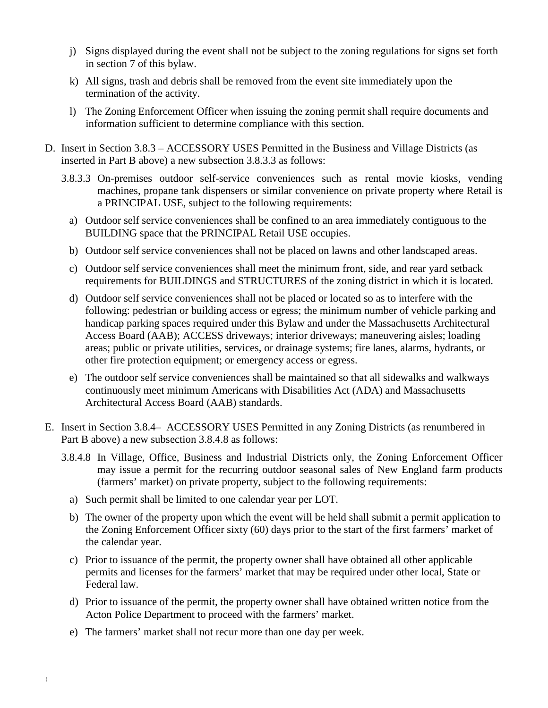- j) Signs displayed during the event shall not be subject to the zoning regulations for signs set forth in section 7 of this bylaw.
- k) All signs, trash and debris shall be removed from the event site immediately upon the termination of the activity.
- l) The Zoning Enforcement Officer when issuing the zoning permit shall require documents and information sufficient to determine compliance with this section.
- D. Insert in Section 3.8.3 ACCESSORY USES Permitted in the Business and Village Districts (as inserted in Part B above) a new subsection 3.8.3.3 as follows:
	- 3.8.3.3 On-premises outdoor self-service conveniences such as rental movie kiosks, vending machines, propane tank dispensers or similar convenience on private property where Retail is a PRINCIPAL USE, subject to the following requirements:
		- a) Outdoor self service conveniences shall be confined to an area immediately contiguous to the BUILDING space that the PRINCIPAL Retail USE occupies.
		- b) Outdoor self service conveniences shall not be placed on lawns and other landscaped areas.
		- c) Outdoor self service conveniences shall meet the minimum front, side, and rear yard setback requirements for BUILDINGS and STRUCTURES of the zoning district in which it is located.
		- d) Outdoor self service conveniences shall not be placed or located so as to interfere with the following: pedestrian or building access or egress; the minimum number of vehicle parking and handicap parking spaces required under this Bylaw and under the Massachusetts Architectural Access Board (AAB); ACCESS driveways; interior driveways; maneuvering aisles; loading areas; public or private utilities, services, or drainage systems; fire lanes, alarms, hydrants, or other fire protection equipment; or emergency access or egress.
		- e) The outdoor self service conveniences shall be maintained so that all sidewalks and walkways continuously meet minimum Americans with Disabilities Act (ADA) and Massachusetts Architectural Access Board (AAB) standards.
- E. Insert in Section 3.8.4– ACCESSORY USES Permitted in any Zoning Districts (as renumbered in Part B above) a new subsection 3.8.4.8 as follows:
	- 3.8.4.8 In Village, Office, Business and Industrial Districts only, the Zoning Enforcement Officer may issue a permit for the recurring outdoor seasonal sales of New England farm products (farmers' market) on private property, subject to the following requirements:
		- a) Such permit shall be limited to one calendar year per LOT.
		- b) The owner of the property upon which the event will be held shall submit a permit application to the Zoning Enforcement Officer sixty (60) days prior to the start of the first farmers' market of the calendar year.
		- c) Prior to issuance of the permit, the property owner shall have obtained all other applicable permits and licenses for the farmers' market that may be required under other local, State or Federal law.
		- d) Prior to issuance of the permit, the property owner shall have obtained written notice from the Acton Police Department to proceed with the farmers' market.
		- e) The farmers' market shall not recur more than one day per week.

{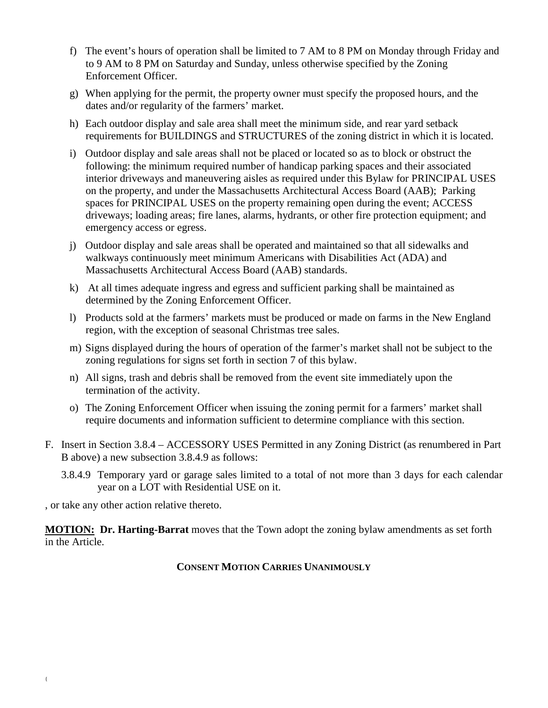- f) The event's hours of operation shall be limited to 7 AM to 8 PM on Monday through Friday and to 9 AM to 8 PM on Saturday and Sunday, unless otherwise specified by the Zoning Enforcement Officer.
- g) When applying for the permit, the property owner must specify the proposed hours, and the dates and/or regularity of the farmers' market.
- h) Each outdoor display and sale area shall meet the minimum side, and rear yard setback requirements for BUILDINGS and STRUCTURES of the zoning district in which it is located.
- i) Outdoor display and sale areas shall not be placed or located so as to block or obstruct the following: the minimum required number of handicap parking spaces and their associated interior driveways and maneuvering aisles as required under this Bylaw for PRINCIPAL USES on the property, and under the Massachusetts Architectural Access Board (AAB); Parking spaces for PRINCIPAL USES on the property remaining open during the event; ACCESS driveways; loading areas; fire lanes, alarms, hydrants, or other fire protection equipment; and emergency access or egress.
- j) Outdoor display and sale areas shall be operated and maintained so that all sidewalks and walkways continuously meet minimum Americans with Disabilities Act (ADA) and Massachusetts Architectural Access Board (AAB) standards.
- k) At all times adequate ingress and egress and sufficient parking shall be maintained as determined by the Zoning Enforcement Officer.
- l) Products sold at the farmers' markets must be produced or made on farms in the New England region, with the exception of seasonal Christmas tree sales.
- m) Signs displayed during the hours of operation of the farmer's market shall not be subject to the zoning regulations for signs set forth in section 7 of this bylaw.
- n) All signs, trash and debris shall be removed from the event site immediately upon the termination of the activity.
- o) The Zoning Enforcement Officer when issuing the zoning permit for a farmers' market shall require documents and information sufficient to determine compliance with this section.
- F. Insert in Section 3.8.4 ACCESSORY USES Permitted in any Zoning District (as renumbered in Part B above) a new subsection 3.8.4.9 as follows:
	- 3.8.4.9 Temporary yard or garage sales limited to a total of not more than 3 days for each calendar year on a LOT with Residential USE on it.

, or take any other action relative thereto.

**MOTION: Dr. Harting-Barrat** moves that the Town adopt the zoning bylaw amendments as set forth in the Article.

## **CONSENT MOTION CARRIES UNANIMOUSLY**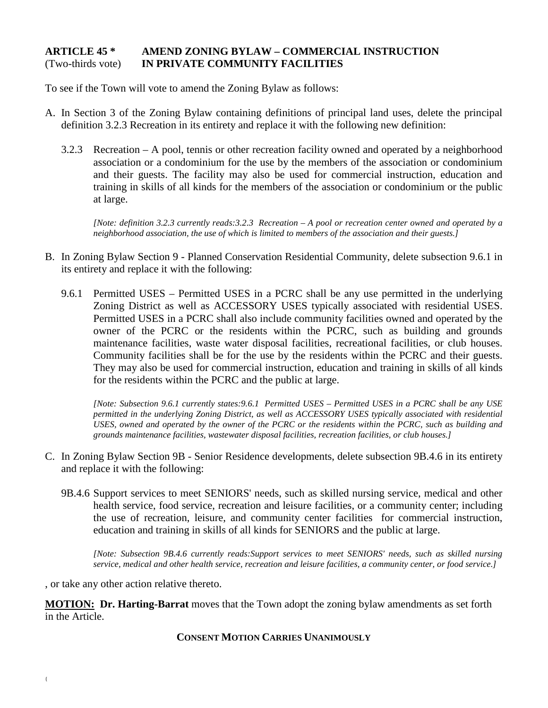## **ARTICLE 45 \* AMEND ZONING BYLAW – COMMERCIAL INSTRUCTION** (Two-thirds vote) **IN PRIVATE COMMUNITY FACILITIES**

To see if the Town will vote to amend the Zoning Bylaw as follows:

- A. In Section 3 of the Zoning Bylaw containing definitions of principal land uses, delete the principal definition 3.2.3 Recreation in its entirety and replace it with the following new definition:
	- 3.2.3 Recreation A pool, tennis or other recreation facility owned and operated by a neighborhood association or a condominium for the use by the members of the association or condominium and their guests. The facility may also be used for commercial instruction, education and training in skills of all kinds for the members of the association or condominium or the public at large.

*[Note: definition 3.2.3 currently reads:3.2.3 Recreation – A pool or recreation center owned and operated by a neighborhood association, the use of which is limited to members of the association and their guests.]*

- B. In Zoning Bylaw Section 9 Planned Conservation Residential Community, delete subsection 9.6.1 in its entirety and replace it with the following:
	- 9.6.1 Permitted USES Permitted USES in a PCRC shall be any use permitted in the underlying Zoning District as well as ACCESSORY USES typically associated with residential USES. Permitted USES in a PCRC shall also include community facilities owned and operated by the owner of the PCRC or the residents within the PCRC, such as building and grounds maintenance facilities, waste water disposal facilities, recreational facilities, or club houses. Community facilities shall be for the use by the residents within the PCRC and their guests. They may also be used for commercial instruction, education and training in skills of all kinds for the residents within the PCRC and the public at large.

*[Note: Subsection 9.6.1 currently states:9.6.1 Permitted USES – Permitted USES in a PCRC shall be any USE permitted in the underlying Zoning District, as well as ACCESSORY USES typically associated with residential USES, owned and operated by the owner of the PCRC or the residents within the PCRC, such as building and grounds maintenance facilities, wastewater disposal facilities, recreation facilities, or club houses.]*

- C. In Zoning Bylaw Section 9B Senior Residence developments, delete subsection 9B.4.6 in its entirety and replace it with the following:
	- 9B.4.6 Support services to meet SENIORS' needs, such as skilled nursing service, medical and other health service, food service, recreation and leisure facilities, or a community center; including the use of recreation, leisure, and community center facilities for commercial instruction, education and training in skills of all kinds for SENIORS and the public at large.

*[Note: Subsection 9B.4.6 currently reads:Support services to meet SENIORS' needs, such as skilled nursing service, medical and other health service, recreation and leisure facilities, a community center, or food service.]*

, or take any other action relative thereto.

**MOTION: Dr. Harting-Barrat** moves that the Town adopt the zoning bylaw amendments as set forth in the Article.

**CONSENT MOTION CARRIES UNANIMOUSLY**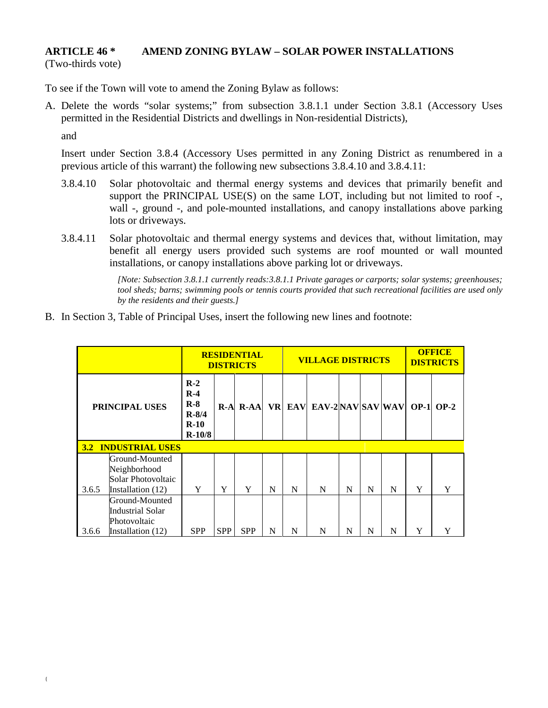# **ARTICLE 46 \* AMEND ZONING BYLAW – SOLAR POWER INSTALLATIONS**

(Two-thirds vote)

To see if the Town will vote to amend the Zoning Bylaw as follows:

A. Delete the words "solar systems;" from subsection 3.8.1.1 under Section 3.8.1 (Accessory Uses permitted in the Residential Districts and dwellings in Non-residential Districts),

and

Insert under Section 3.8.4 (Accessory Uses permitted in any Zoning District as renumbered in a previous article of this warrant) the following new subsections 3.8.4.10 and 3.8.4.11:

- 3.8.4.10 Solar photovoltaic and thermal energy systems and devices that primarily benefit and support the PRINCIPAL USE(S) on the same LOT, including but not limited to roof -, wall -, ground -, and pole-mounted installations, and canopy installations above parking lots or driveways.
- 3.8.4.11 Solar photovoltaic and thermal energy systems and devices that, without limitation, may benefit all energy users provided such systems are roof mounted or wall mounted installations, or canopy installations above parking lot or driveways.

*[Note: Subsection 3.8.1.1 currently reads:3.8.1.1 Private garages or carports; solar systems; greenhouses; tool sheds; barns; swimming pools or tennis courts provided that such recreational facilities are used only by the residents and their guests.]*

B. In Section 3, Table of Principal Uses, insert the following new lines and footnote:

| <b>RESIDENTIAL</b><br><b>DISTRICTS</b> |                                                                                |                                                            |            |              | <b>VILLAGE DISTRICTS</b> | <b>OFFICE</b><br><b>DISTRICTS</b> |                       |   |   |   |   |               |
|----------------------------------------|--------------------------------------------------------------------------------|------------------------------------------------------------|------------|--------------|--------------------------|-----------------------------------|-----------------------|---|---|---|---|---------------|
| <b>PRINCIPAL USES</b>                  |                                                                                | $R-2$<br>$R-4$<br>$R-8$<br>$R - 8/4$<br>$R-10$<br>$R-10/8$ |            | $R-A$ $R-AA$ | <b>VR</b>                |                                   | EAV EAV-2 NAV SAV WAV |   |   |   |   | $OP-1$ $OP-2$ |
|                                        | <b>3.2 INDUSTRIAL USES</b>                                                     |                                                            |            |              |                          |                                   |                       |   |   |   |   |               |
| 3.6.5                                  | Ground-Mounted<br>Neighborhood<br>Solar Photovoltaic<br>Installation (12)      | Y                                                          | Y          | Y            | N                        | N                                 | N                     | N | N | N | Y | Y             |
| 3.6.6                                  | Ground-Mounted<br><b>Industrial Solar</b><br>Photovoltaic<br>Installation (12) | <b>SPP</b>                                                 | <b>SPP</b> | <b>SPP</b>   | N                        | N                                 | N                     | N | N | N | Y |               |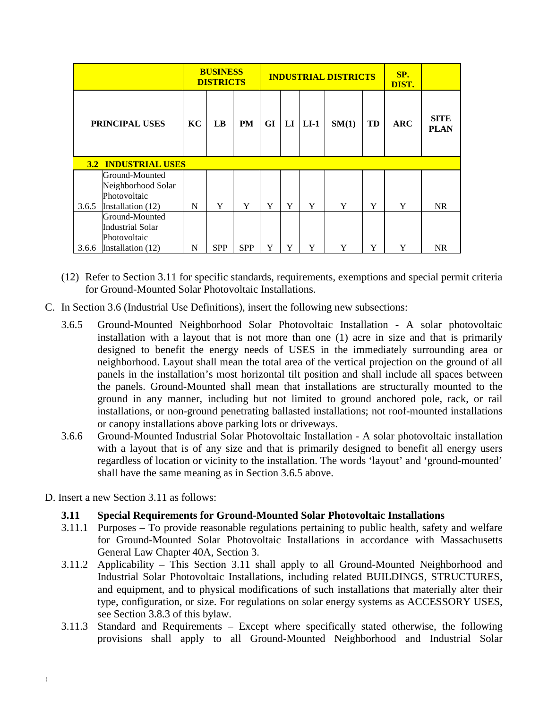|       |                                                                           |   | <b>BUSINESS</b><br><b>DISTRICTS</b> |            |    |    | <b>INDUSTRIAL DISTRICTS</b> | SP.<br>DIST. |    |     |                            |
|-------|---------------------------------------------------------------------------|---|-------------------------------------|------------|----|----|-----------------------------|--------------|----|-----|----------------------------|
|       | PRINCIPAL USES                                                            |   | LB                                  | <b>PM</b>  | GI | LI | $LI-1$                      | SM(1)        | TD | ABC | <b>SITE</b><br><b>PLAN</b> |
|       | <b>3.2 INDUSTRIAL USES</b>                                                |   |                                     |            |    |    |                             |              |    |     |                            |
| 3.6.5 | Ground-Mounted<br>Neighborhood Solar<br>Photovoltaic<br>Installation (12) | N | Y                                   | Y          | Y  | Y  | Y                           | Y            | Y  | Y   | <b>NR</b>                  |
|       | Ground-Mounted<br><b>Industrial Solar</b>                                 |   |                                     |            |    |    |                             |              |    |     |                            |
| 3.6.6 | Photovoltaic<br>Installation (12)                                         | N | <b>SPP</b>                          | <b>SPP</b> | Y  | Y  | Y                           | Y            | Y  | Y   | <b>NR</b>                  |

- (12) Refer to Section 3.11 for specific standards, requirements, exemptions and special permit criteria for Ground-Mounted Solar Photovoltaic Installations.
- C. In Section 3.6 (Industrial Use Definitions), insert the following new subsections:
	- 3.6.5 Ground-Mounted Neighborhood Solar Photovoltaic Installation A solar photovoltaic installation with a layout that is not more than one (1) acre in size and that is primarily designed to benefit the energy needs of USES in the immediately surrounding area or neighborhood. Layout shall mean the total area of the vertical projection on the ground of all panels in the installation's most horizontal tilt position and shall include all spaces between the panels. Ground-Mounted shall mean that installations are structurally mounted to the ground in any manner, including but not limited to ground anchored pole, rack, or rail installations, or non-ground penetrating ballasted installations; not roof-mounted installations or canopy installations above parking lots or driveways.
	- 3.6.6 Ground-Mounted Industrial Solar Photovoltaic Installation A solar photovoltaic installation with a layout that is of any size and that is primarily designed to benefit all energy users regardless of location or vicinity to the installation. The words 'layout' and 'ground-mounted' shall have the same meaning as in Section 3.6.5 above.
- D. Insert a new Section 3.11 as follows:
	- **3.11 Special Requirements for Ground-Mounted Solar Photovoltaic Installations**
	- 3.11.1 Purposes To provide reasonable regulations pertaining to public health, safety and welfare for Ground-Mounted Solar Photovoltaic Installations in accordance with Massachusetts General Law Chapter 40A, Section 3.
	- 3.11.2 Applicability This Section 3.11 shall apply to all Ground-Mounted Neighborhood and Industrial Solar Photovoltaic Installations, including related BUILDINGS, STRUCTURES, and equipment, and to physical modifications of such installations that materially alter their type, configuration, or size. For regulations on solar energy systems as ACCESSORY USES, see Section 3.8.3 of this bylaw.
	- 3.11.3 Standard and Requirements Except where specifically stated otherwise, the following provisions shall apply to all Ground-Mounted Neighborhood and Industrial Solar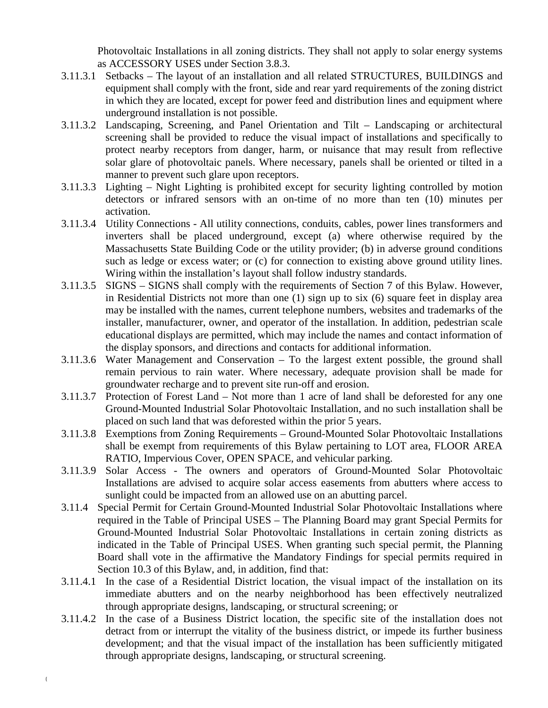Photovoltaic Installations in all zoning districts. They shall not apply to solar energy systems as ACCESSORY USES under Section 3.8.3.

- 3.11.3.1 Setbacks The layout of an installation and all related STRUCTURES, BUILDINGS and equipment shall comply with the front, side and rear yard requirements of the zoning district in which they are located, except for power feed and distribution lines and equipment where underground installation is not possible.
- 3.11.3.2 Landscaping, Screening, and Panel Orientation and Tilt Landscaping or architectural screening shall be provided to reduce the visual impact of installations and specifically to protect nearby receptors from danger, harm, or nuisance that may result from reflective solar glare of photovoltaic panels. Where necessary, panels shall be oriented or tilted in a manner to prevent such glare upon receptors.
- 3.11.3.3 Lighting Night Lighting is prohibited except for security lighting controlled by motion detectors or infrared sensors with an on-time of no more than ten (10) minutes per activation.
- 3.11.3.4 Utility Connections All utility connections, conduits, cables, power lines transformers and inverters shall be placed underground, except (a) where otherwise required by the Massachusetts State Building Code or the utility provider; (b) in adverse ground conditions such as ledge or excess water; or (c) for connection to existing above ground utility lines. Wiring within the installation's layout shall follow industry standards.
- 3.11.3.5 SIGNS SIGNS shall comply with the requirements of Section 7 of this Bylaw. However, in Residential Districts not more than one (1) sign up to six (6) square feet in display area may be installed with the names, current telephone numbers, websites and trademarks of the installer, manufacturer, owner, and operator of the installation. In addition, pedestrian scale educational displays are permitted, which may include the names and contact information of the display sponsors, and directions and contacts for additional information.
- 3.11.3.6 Water Management and Conservation To the largest extent possible, the ground shall remain pervious to rain water. Where necessary, adequate provision shall be made for groundwater recharge and to prevent site run-off and erosion.
- 3.11.3.7 Protection of Forest Land Not more than 1 acre of land shall be deforested for any one Ground-Mounted Industrial Solar Photovoltaic Installation, and no such installation shall be placed on such land that was deforested within the prior 5 years.
- 3.11.3.8 Exemptions from Zoning Requirements Ground-Mounted Solar Photovoltaic Installations shall be exempt from requirements of this Bylaw pertaining to LOT area, FLOOR AREA RATIO, Impervious Cover, OPEN SPACE, and vehicular parking.
- 3.11.3.9 Solar Access The owners and operators of Ground-Mounted Solar Photovoltaic Installations are advised to acquire solar access easements from abutters where access to sunlight could be impacted from an allowed use on an abutting parcel.
- 3.11.4 Special Permit for Certain Ground-Mounted Industrial Solar Photovoltaic Installations where required in the Table of Principal USES – The Planning Board may grant Special Permits for Ground-Mounted Industrial Solar Photovoltaic Installations in certain zoning districts as indicated in the Table of Principal USES. When granting such special permit, the Planning Board shall vote in the affirmative the Mandatory Findings for special permits required in Section 10.3 of this Bylaw, and, in addition, find that:
- 3.11.4.1 In the case of a Residential District location, the visual impact of the installation on its immediate abutters and on the nearby neighborhood has been effectively neutralized through appropriate designs, landscaping, or structural screening; or
- 3.11.4.2 In the case of a Business District location, the specific site of the installation does not detract from or interrupt the vitality of the business district, or impede its further business development; and that the visual impact of the installation has been sufficiently mitigated through appropriate designs, landscaping, or structural screening.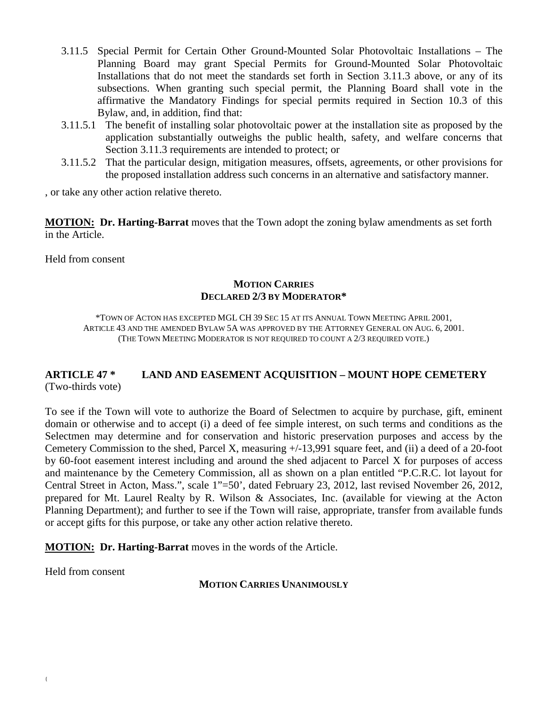- 3.11.5 Special Permit for Certain Other Ground-Mounted Solar Photovoltaic Installations The Planning Board may grant Special Permits for Ground-Mounted Solar Photovoltaic Installations that do not meet the standards set forth in Section 3.11.3 above, or any of its subsections. When granting such special permit, the Planning Board shall vote in the affirmative the Mandatory Findings for special permits required in Section 10.3 of this Bylaw, and, in addition, find that:
- 3.11.5.1 The benefit of installing solar photovoltaic power at the installation site as proposed by the application substantially outweighs the public health, safety, and welfare concerns that Section 3.11.3 requirements are intended to protect; or
- 3.11.5.2 That the particular design, mitigation measures, offsets, agreements, or other provisions for the proposed installation address such concerns in an alternative and satisfactory manner.

, or take any other action relative thereto.

**MOTION: Dr. Harting-Barrat** moves that the Town adopt the zoning bylaw amendments as set forth in the Article.

Held from consent

## **MOTION CARRIES DECLARED 2/3 BY MODERATOR\***

\*TOWN OF ACTON HAS EXCEPTED MGL CH 39 SEC 15 AT ITS ANNUAL TOWN MEETING APRIL 2001, ARTICLE 43 AND THE AMENDED BYLAW 5A WAS APPROVED BY THE ATTORNEY GENERAL ON AUG. 6, 2001. (THE TOWN MEETING MODERATOR IS NOT REQUIRED TO COUNT A 2/3 REQUIRED VOTE.)

## **ARTICLE 47 \* LAND AND EASEMENT ACQUISITION – MOUNT HOPE CEMETERY** (Two-thirds vote)

To see if the Town will vote to authorize the Board of Selectmen to acquire by purchase, gift, eminent domain or otherwise and to accept (i) a deed of fee simple interest, on such terms and conditions as the Selectmen may determine and for conservation and historic preservation purposes and access by the Cemetery Commission to the shed, Parcel X, measuring +/-13,991 square feet, and (ii) a deed of a 20-foot by 60-foot easement interest including and around the shed adjacent to Parcel X for purposes of access and maintenance by the Cemetery Commission, all as shown on a plan entitled "P.C.R.C. lot layout for Central Street in Acton, Mass.", scale 1"=50', dated February 23, 2012, last revised November 26, 2012, prepared for Mt. Laurel Realty by R. Wilson & Associates, Inc. (available for viewing at the Acton Planning Department); and further to see if the Town will raise, appropriate, transfer from available funds or accept gifts for this purpose, or take any other action relative thereto.

**MOTION: Dr. Harting-Barrat** moves in the words of the Article.

Held from consent

#### **MOTION CARRIES UNANIMOUSLY**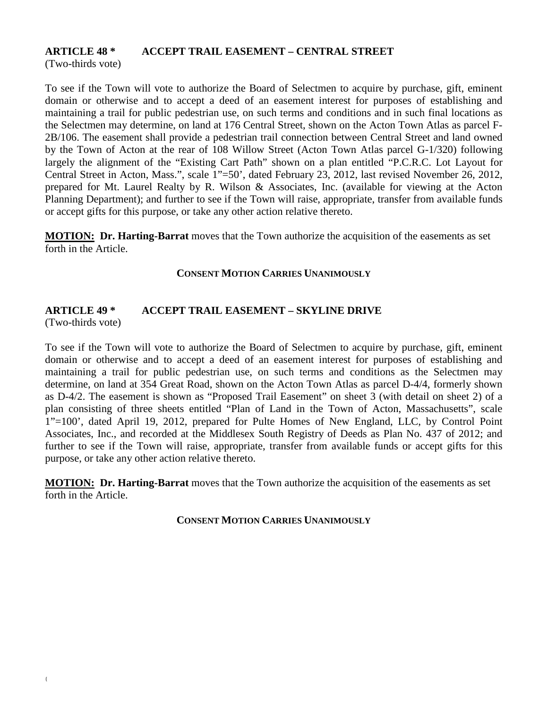## **ARTICLE 48 \* ACCEPT TRAIL EASEMENT – CENTRAL STREET**

(Two-thirds vote)

To see if the Town will vote to authorize the Board of Selectmen to acquire by purchase, gift, eminent domain or otherwise and to accept a deed of an easement interest for purposes of establishing and maintaining a trail for public pedestrian use, on such terms and conditions and in such final locations as the Selectmen may determine, on land at 176 Central Street, shown on the Acton Town Atlas as parcel F-2B/106. The easement shall provide a pedestrian trail connection between Central Street and land owned by the Town of Acton at the rear of 108 Willow Street (Acton Town Atlas parcel G-1/320) following largely the alignment of the "Existing Cart Path" shown on a plan entitled "P.C.R.C. Lot Layout for Central Street in Acton, Mass.", scale 1"=50', dated February 23, 2012, last revised November 26, 2012, prepared for Mt. Laurel Realty by R. Wilson & Associates, Inc. (available for viewing at the Acton Planning Department); and further to see if the Town will raise, appropriate, transfer from available funds or accept gifts for this purpose, or take any other action relative thereto.

**MOTION: Dr. Harting-Barrat** moves that the Town authorize the acquisition of the easements as set forth in the Article.

#### **CONSENT MOTION CARRIES UNANIMOUSLY**

# **ARTICLE 49 \* ACCEPT TRAIL EASEMENT – SKYLINE DRIVE**

(Two-thirds vote)

To see if the Town will vote to authorize the Board of Selectmen to acquire by purchase, gift, eminent domain or otherwise and to accept a deed of an easement interest for purposes of establishing and maintaining a trail for public pedestrian use, on such terms and conditions as the Selectmen may determine, on land at 354 Great Road, shown on the Acton Town Atlas as parcel D-4/4, formerly shown as D-4/2. The easement is shown as "Proposed Trail Easement" on sheet 3 (with detail on sheet 2) of a plan consisting of three sheets entitled "Plan of Land in the Town of Acton, Massachusetts", scale 1"=100', dated April 19, 2012, prepared for Pulte Homes of New England, LLC, by Control Point Associates, Inc., and recorded at the Middlesex South Registry of Deeds as Plan No. 437 of 2012; and further to see if the Town will raise, appropriate, transfer from available funds or accept gifts for this purpose, or take any other action relative thereto.

**MOTION: Dr. Harting-Barrat** moves that the Town authorize the acquisition of the easements as set forth in the Article.

**CONSENT MOTION CARRIES UNANIMOUSLY**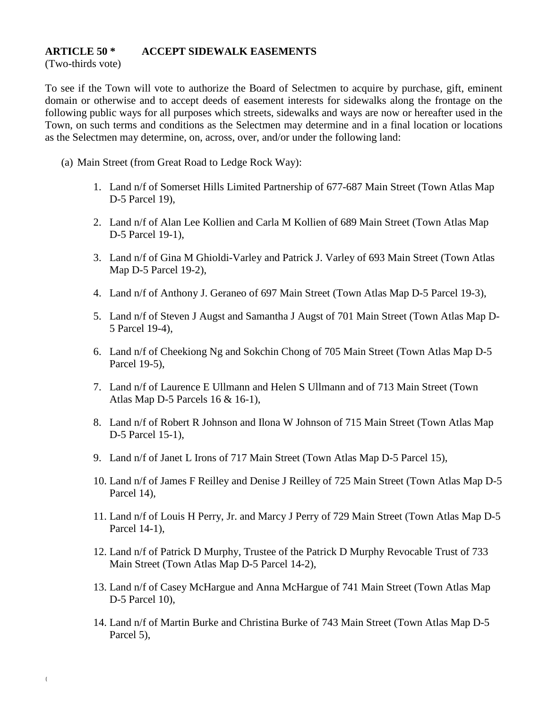#### **ARTICLE 50 \* ACCEPT SIDEWALK EASEMENTS**

(Two-thirds vote)

To see if the Town will vote to authorize the Board of Selectmen to acquire by purchase, gift, eminent domain or otherwise and to accept deeds of easement interests for sidewalks along the frontage on the following public ways for all purposes which streets, sidewalks and ways are now or hereafter used in the Town, on such terms and conditions as the Selectmen may determine and in a final location or locations as the Selectmen may determine, on, across, over, and/or under the following land:

- (a) Main Street (from Great Road to Ledge Rock Way):
	- 1. Land n/f of Somerset Hills Limited Partnership of 677-687 Main Street (Town Atlas Map D-5 Parcel 19),
	- 2. Land n/f of Alan Lee Kollien and Carla M Kollien of 689 Main Street (Town Atlas Map D-5 Parcel 19-1),
	- 3. Land n/f of Gina M Ghioldi-Varley and Patrick J. Varley of 693 Main Street (Town Atlas Map D-5 Parcel 19-2),
	- 4. Land n/f of Anthony J. Geraneo of 697 Main Street (Town Atlas Map D-5 Parcel 19-3),
	- 5. Land n/f of Steven J Augst and Samantha J Augst of 701 Main Street (Town Atlas Map D-5 Parcel 19-4),
	- 6. Land n/f of Cheekiong Ng and Sokchin Chong of 705 Main Street (Town Atlas Map D-5 Parcel 19-5),
	- 7. Land n/f of Laurence E Ullmann and Helen S Ullmann and of 713 Main Street (Town Atlas Map D-5 Parcels 16 & 16-1),
	- 8. Land n/f of Robert R Johnson and Ilona W Johnson of 715 Main Street (Town Atlas Map D-5 Parcel 15-1),
	- 9. Land n/f of Janet L Irons of 717 Main Street (Town Atlas Map D-5 Parcel 15),
	- 10. Land n/f of James F Reilley and Denise J Reilley of 725 Main Street (Town Atlas Map D-5 Parcel 14).
	- 11. Land n/f of Louis H Perry, Jr. and Marcy J Perry of 729 Main Street (Town Atlas Map D-5 Parcel 14-1),
	- 12. Land n/f of Patrick D Murphy, Trustee of the Patrick D Murphy Revocable Trust of 733 Main Street (Town Atlas Map D-5 Parcel 14-2),
	- 13. Land n/f of Casey McHargue and Anna McHargue of 741 Main Street (Town Atlas Map D-5 Parcel 10),
	- 14. Land n/f of Martin Burke and Christina Burke of 743 Main Street (Town Atlas Map D-5 Parcel 5),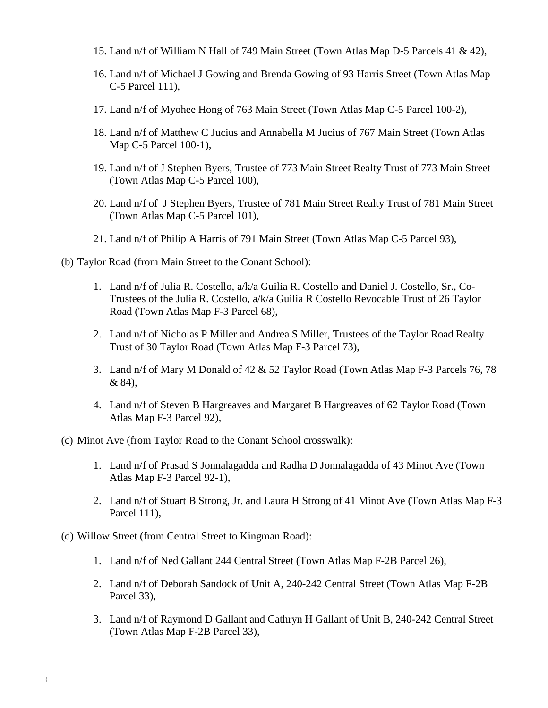- 15. Land n/f of William N Hall of 749 Main Street (Town Atlas Map D-5 Parcels 41 & 42),
- 16. Land n/f of Michael J Gowing and Brenda Gowing of 93 Harris Street (Town Atlas Map C-5 Parcel 111),
- 17. Land n/f of Myohee Hong of 763 Main Street (Town Atlas Map C-5 Parcel 100-2),
- 18. Land n/f of Matthew C Jucius and Annabella M Jucius of 767 Main Street (Town Atlas Map C-5 Parcel 100-1),
- 19. Land n/f of J Stephen Byers, Trustee of 773 Main Street Realty Trust of 773 Main Street (Town Atlas Map C-5 Parcel 100),
- 20. Land n/f of J Stephen Byers, Trustee of 781 Main Street Realty Trust of 781 Main Street (Town Atlas Map C-5 Parcel 101),
- 21. Land n/f of Philip A Harris of 791 Main Street (Town Atlas Map C-5 Parcel 93),
- (b) Taylor Road (from Main Street to the Conant School):
	- 1. Land n/f of Julia R. Costello, a/k/a Guilia R. Costello and Daniel J. Costello, Sr., Co-Trustees of the Julia R. Costello, a/k/a Guilia R Costello Revocable Trust of 26 Taylor Road (Town Atlas Map F-3 Parcel 68),
	- 2. Land n/f of Nicholas P Miller and Andrea S Miller, Trustees of the Taylor Road Realty Trust of 30 Taylor Road (Town Atlas Map F-3 Parcel 73),
	- 3. Land n/f of Mary M Donald of 42 & 52 Taylor Road (Town Atlas Map F-3 Parcels 76, 78 & 84),
	- 4. Land n/f of Steven B Hargreaves and Margaret B Hargreaves of 62 Taylor Road (Town Atlas Map F-3 Parcel 92),
- (c) Minot Ave (from Taylor Road to the Conant School crosswalk):
	- 1. Land n/f of Prasad S Jonnalagadda and Radha D Jonnalagadda of 43 Minot Ave (Town Atlas Map F-3 Parcel 92-1),
	- 2. Land n/f of Stuart B Strong, Jr. and Laura H Strong of 41 Minot Ave (Town Atlas Map F-3 Parcel 111),
- (d) Willow Street (from Central Street to Kingman Road):
	- 1. Land n/f of Ned Gallant 244 Central Street (Town Atlas Map F-2B Parcel 26),
	- 2. Land n/f of Deborah Sandock of Unit A, 240-242 Central Street (Town Atlas Map F-2B Parcel 33),
	- 3. Land n/f of Raymond D Gallant and Cathryn H Gallant of Unit B, 240-242 Central Street (Town Atlas Map F-2B Parcel 33),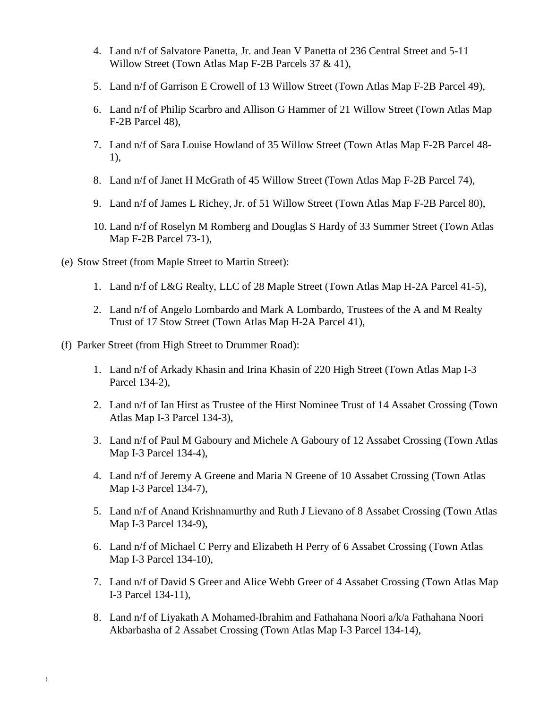- 4. Land n/f of Salvatore Panetta, Jr. and Jean V Panetta of 236 Central Street and 5-11 Willow Street (Town Atlas Map F-2B Parcels 37 & 41),
- 5. Land n/f of Garrison E Crowell of 13 Willow Street (Town Atlas Map F-2B Parcel 49),
- 6. Land n/f of Philip Scarbro and Allison G Hammer of 21 Willow Street (Town Atlas Map F-2B Parcel 48),
- 7. Land n/f of Sara Louise Howland of 35 Willow Street (Town Atlas Map F-2B Parcel 48- 1),
- 8. Land n/f of Janet H McGrath of 45 Willow Street (Town Atlas Map F-2B Parcel 74),
- 9. Land n/f of James L Richey, Jr. of 51 Willow Street (Town Atlas Map F-2B Parcel 80),
- 10. Land n/f of Roselyn M Romberg and Douglas S Hardy of 33 Summer Street (Town Atlas Map F-2B Parcel 73-1),
- (e) Stow Street (from Maple Street to Martin Street):
	- 1. Land n/f of L&G Realty, LLC of 28 Maple Street (Town Atlas Map H-2A Parcel 41-5),
	- 2. Land n/f of Angelo Lombardo and Mark A Lombardo, Trustees of the A and M Realty Trust of 17 Stow Street (Town Atlas Map H-2A Parcel 41),
- (f) Parker Street (from High Street to Drummer Road):
	- 1. Land n/f of Arkady Khasin and Irina Khasin of 220 High Street (Town Atlas Map I-3 Parcel 134-2),
	- 2. Land n/f of Ian Hirst as Trustee of the Hirst Nominee Trust of 14 Assabet Crossing (Town Atlas Map I-3 Parcel 134-3),
	- 3. Land n/f of Paul M Gaboury and Michele A Gaboury of 12 Assabet Crossing (Town Atlas Map I-3 Parcel 134-4),
	- 4. Land n/f of Jeremy A Greene and Maria N Greene of 10 Assabet Crossing (Town Atlas Map I-3 Parcel 134-7),
	- 5. Land n/f of Anand Krishnamurthy and Ruth J Lievano of 8 Assabet Crossing (Town Atlas Map I-3 Parcel 134-9),
	- 6. Land n/f of Michael C Perry and Elizabeth H Perry of 6 Assabet Crossing (Town Atlas Map I-3 Parcel 134-10),
	- 7. Land n/f of David S Greer and Alice Webb Greer of 4 Assabet Crossing (Town Atlas Map I-3 Parcel 134-11),
	- 8. Land n/f of Liyakath A Mohamed-Ibrahim and Fathahana Noori a/k/a Fathahana Noori Akbarbasha of 2 Assabet Crossing (Town Atlas Map I-3 Parcel 134-14),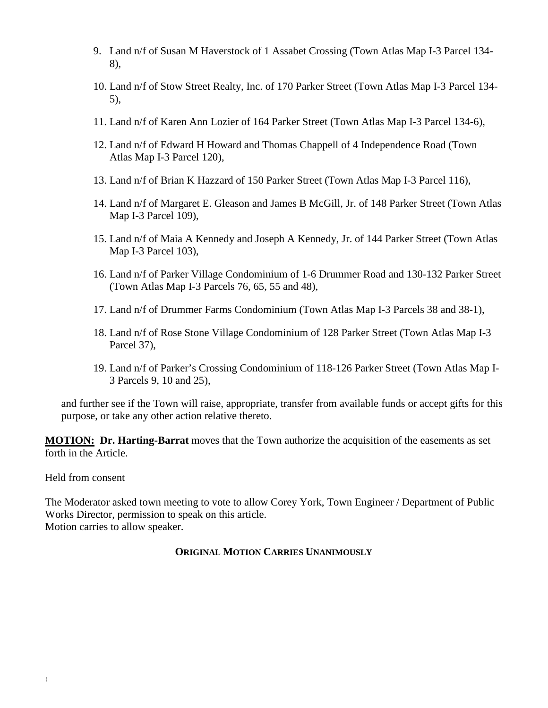- 9. Land n/f of Susan M Haverstock of 1 Assabet Crossing (Town Atlas Map I-3 Parcel 134- 8),
- 10. Land n/f of Stow Street Realty, Inc. of 170 Parker Street (Town Atlas Map I-3 Parcel 134- 5),
- 11. Land n/f of Karen Ann Lozier of 164 Parker Street (Town Atlas Map I-3 Parcel 134-6),
- 12. Land n/f of Edward H Howard and Thomas Chappell of 4 Independence Road (Town Atlas Map I-3 Parcel 120),
- 13. Land n/f of Brian K Hazzard of 150 Parker Street (Town Atlas Map I-3 Parcel 116),
- 14. Land n/f of Margaret E. Gleason and James B McGill, Jr. of 148 Parker Street (Town Atlas Map I-3 Parcel 109),
- 15. Land n/f of Maia A Kennedy and Joseph A Kennedy, Jr. of 144 Parker Street (Town Atlas Map I-3 Parcel 103),
- 16. Land n/f of Parker Village Condominium of 1-6 Drummer Road and 130-132 Parker Street (Town Atlas Map I-3 Parcels 76, 65, 55 and 48),
- 17. Land n/f of Drummer Farms Condominium (Town Atlas Map I-3 Parcels 38 and 38-1),
- 18. Land n/f of Rose Stone Village Condominium of 128 Parker Street (Town Atlas Map I-3 Parcel 37),
- 19. Land n/f of Parker's Crossing Condominium of 118-126 Parker Street (Town Atlas Map I-3 Parcels 9, 10 and 25),

and further see if the Town will raise, appropriate, transfer from available funds or accept gifts for this purpose, or take any other action relative thereto.

**MOTION: Dr. Harting-Barrat** moves that the Town authorize the acquisition of the easements as set forth in the Article.

Held from consent

The Moderator asked town meeting to vote to allow Corey York, Town Engineer / Department of Public Works Director, permission to speak on this article. Motion carries to allow speaker.

## **ORIGINAL MOTION CARRIES UNANIMOUSLY**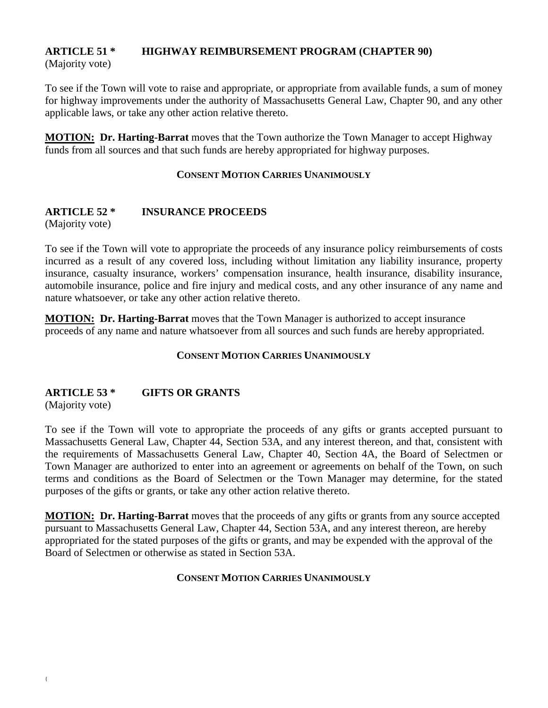# **ARTICLE 51 \* HIGHWAY REIMBURSEMENT PROGRAM (CHAPTER 90)**

(Majority vote)

To see if the Town will vote to raise and appropriate, or appropriate from available funds, a sum of money for highway improvements under the authority of Massachusetts General Law, Chapter 90, and any other applicable laws, or take any other action relative thereto.

**MOTION: Dr. Harting-Barrat** moves that the Town authorize the Town Manager to accept Highway funds from all sources and that such funds are hereby appropriated for highway purposes.

## **CONSENT MOTION CARRIES UNANIMOUSLY**

## **ARTICLE 52 \* INSURANCE PROCEEDS**

(Majority vote)

To see if the Town will vote to appropriate the proceeds of any insurance policy reimbursements of costs incurred as a result of any covered loss, including without limitation any liability insurance, property insurance, casualty insurance, workers' compensation insurance, health insurance, disability insurance, automobile insurance, police and fire injury and medical costs, and any other insurance of any name and nature whatsoever, or take any other action relative thereto.

**MOTION: Dr. Harting-Barrat** moves that the Town Manager is authorized to accept insurance proceeds of any name and nature whatsoever from all sources and such funds are hereby appropriated.

## **CONSENT MOTION CARRIES UNANIMOUSLY**

## **ARTICLE 53 \* GIFTS OR GRANTS**

(Majority vote)

To see if the Town will vote to appropriate the proceeds of any gifts or grants accepted pursuant to Massachusetts General Law, Chapter 44, Section 53A, and any interest thereon, and that, consistent with the requirements of Massachusetts General Law, Chapter 40, Section 4A, the Board of Selectmen or Town Manager are authorized to enter into an agreement or agreements on behalf of the Town, on such terms and conditions as the Board of Selectmen or the Town Manager may determine, for the stated purposes of the gifts or grants, or take any other action relative thereto.

**MOTION: Dr. Harting-Barrat** moves that the proceeds of any gifts or grants from any source accepted pursuant to Massachusetts General Law, Chapter 44, Section 53A, and any interest thereon, are hereby appropriated for the stated purposes of the gifts or grants, and may be expended with the approval of the Board of Selectmen or otherwise as stated in Section 53A.

#### **CONSENT MOTION CARRIES UNANIMOUSLY**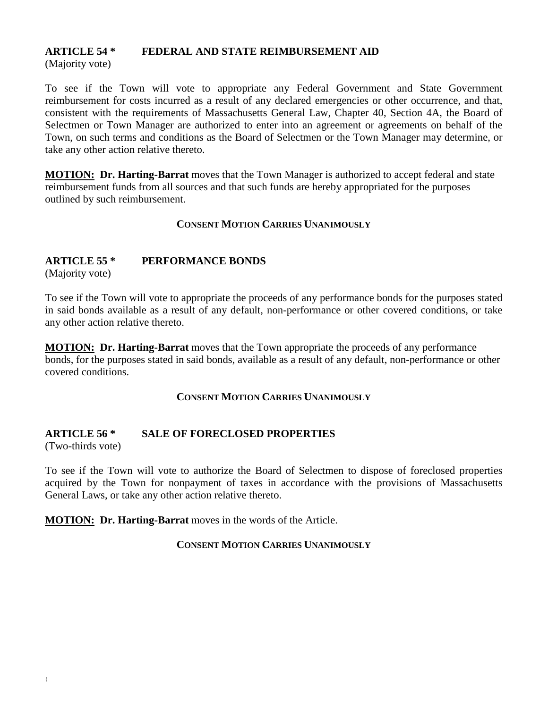# **ARTICLE 54 \* FEDERAL AND STATE REIMBURSEMENT AID**

(Majority vote)

To see if the Town will vote to appropriate any Federal Government and State Government reimbursement for costs incurred as a result of any declared emergencies or other occurrence, and that, consistent with the requirements of Massachusetts General Law, Chapter 40, Section 4A, the Board of Selectmen or Town Manager are authorized to enter into an agreement or agreements on behalf of the Town, on such terms and conditions as the Board of Selectmen or the Town Manager may determine, or take any other action relative thereto.

**MOTION: Dr. Harting-Barrat** moves that the Town Manager is authorized to accept federal and state reimbursement funds from all sources and that such funds are hereby appropriated for the purposes outlined by such reimbursement.

## **CONSENT MOTION CARRIES UNANIMOUSLY**

## **ARTICLE 55 \* PERFORMANCE BONDS**

(Majority vote)

To see if the Town will vote to appropriate the proceeds of any performance bonds for the purposes stated in said bonds available as a result of any default, non-performance or other covered conditions, or take any other action relative thereto.

**MOTION: Dr. Harting-Barrat** moves that the Town appropriate the proceeds of any performance bonds, for the purposes stated in said bonds, available as a result of any default, non-performance or other covered conditions.

## **CONSENT MOTION CARRIES UNANIMOUSLY**

# **ARTICLE 56 \* SALE OF FORECLOSED PROPERTIES**

(Two-thirds vote)

To see if the Town will vote to authorize the Board of Selectmen to dispose of foreclosed properties acquired by the Town for nonpayment of taxes in accordance with the provisions of Massachusetts General Laws, or take any other action relative thereto.

**MOTION: Dr. Harting-Barrat** moves in the words of the Article.

## **CONSENT MOTION CARRIES UNANIMOUSLY**